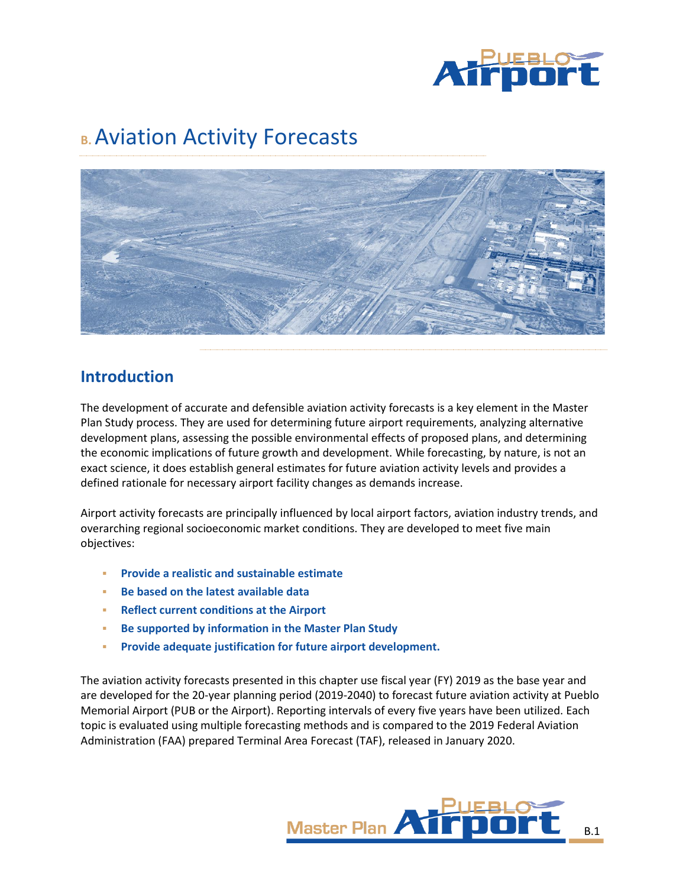

# **B.** Aviation Activity Forecasts



# **Introduction**

The development of accurate and defensible aviation activity forecasts is a key element in the Master Plan Study process. They are used for determining future airport requirements, analyzing alternative development plans, assessing the possible environmental effects of proposed plans, and determining the economic implications of future growth and development. While forecasting, by nature, is not an exact science, it does establish general estimates for future aviation activity levels and provides a defined rationale for necessary airport facility changes as demands increase.

Airport activity forecasts are principally influenced by local airport factors, aviation industry trends, and overarching regional socioeconomic market conditions. They are developed to meet five main objectives:

- **Provide a realistic and sustainable estimate**
- **Be based on the latest available data**
- **Reflect current conditions at the Airport**
- **Be supported by information in the Master Plan Study**
- **Provide adequate justification for future airport development.**

The aviation activity forecasts presented in this chapter use fiscal year (FY) 2019 as the base year and are developed for the 20-year planning period (2019-2040) to forecast future aviation activity at Pueblo Memorial Airport (PUB or the Airport). Reporting intervals of every five years have been utilized. Each topic is evaluated using multiple forecasting methods and is compared to the 2019 Federal Aviation Administration (FAA) prepared Terminal Area Forecast (TAF), released in January 2020.

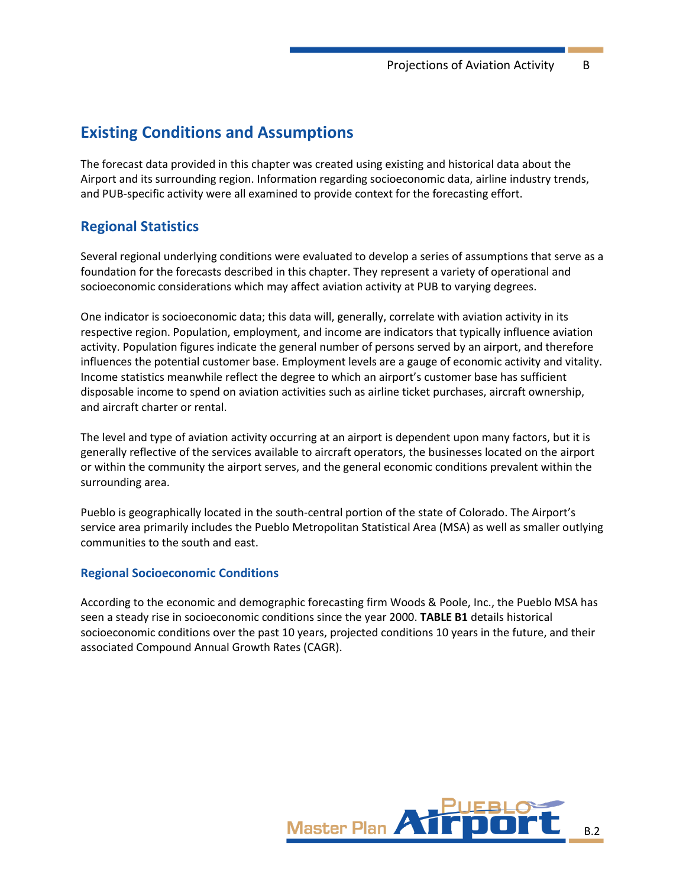# **Existing Conditions and Assumptions**

The forecast data provided in this chapter was created using existing and historical data about the Airport and its surrounding region. Information regarding socioeconomic data, airline industry trends, and PUB-specific activity were all examined to provide context for the forecasting effort.

# **Regional Statistics**

Several regional underlying conditions were evaluated to develop a series of assumptions that serve as a foundation for the forecasts described in this chapter. They represent a variety of operational and socioeconomic considerations which may affect aviation activity at PUB to varying degrees.

One indicator is socioeconomic data; this data will, generally, correlate with aviation activity in its respective region. Population, employment, and income are indicators that typically influence aviation activity. Population figures indicate the general number of persons served by an airport, and therefore influences the potential customer base. Employment levels are a gauge of economic activity and vitality. Income statistics meanwhile reflect the degree to which an airport's customer base has sufficient disposable income to spend on aviation activities such as airline ticket purchases, aircraft ownership, and aircraft charter or rental.

The level and type of aviation activity occurring at an airport is dependent upon many factors, but it is generally reflective of the services available to aircraft operators, the businesses located on the airport or within the community the airport serves, and the general economic conditions prevalent within the surrounding area.

Pueblo is geographically located in the south-central portion of the state of Colorado. The Airport's service area primarily includes the Pueblo Metropolitan Statistical Area (MSA) as well as smaller outlying communities to the south and east.

# **Regional Socioeconomic Conditions**

According to the economic and demographic forecasting firm Woods & Poole, Inc., the Pueblo MSA has seen a steady rise in socioeconomic conditions since the year 2000. **[TABLE B1](#page-2-0)** details historical socioeconomic conditions over the past 10 years, projected conditions 10 years in the future, and their associated Compound Annual Growth Rates (CAGR).

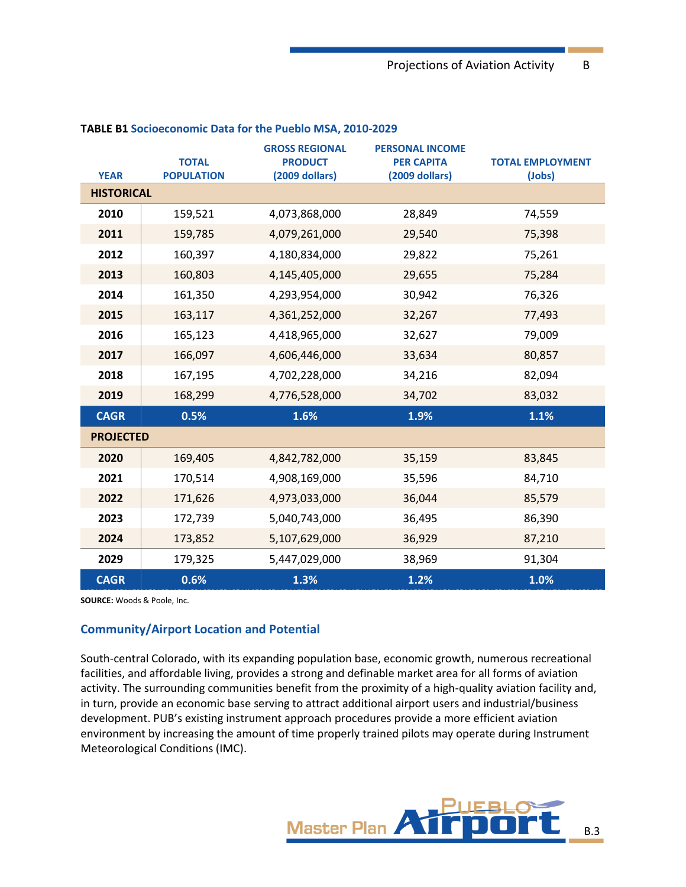| <b>YEAR</b>       | <b>TOTAL</b><br><b>POPULATION</b> | <b>GROSS REGIONAL</b><br><b>PRODUCT</b><br>(2009 dollars) | <b>PERSONAL INCOME</b><br><b>PER CAPITA</b><br>(2009 dollars) | <b>TOTAL EMPLOYMENT</b><br>(Jobs) |
|-------------------|-----------------------------------|-----------------------------------------------------------|---------------------------------------------------------------|-----------------------------------|
| <b>HISTORICAL</b> |                                   |                                                           |                                                               |                                   |
| 2010              | 159,521                           | 4,073,868,000                                             | 28,849                                                        | 74,559                            |
| 2011              | 159,785                           | 4,079,261,000                                             | 29,540                                                        | 75,398                            |
| 2012              | 160,397                           | 4,180,834,000                                             | 29,822                                                        | 75,261                            |
| 2013              | 160,803                           | 4,145,405,000                                             | 29,655                                                        | 75,284                            |
| 2014              | 161,350                           | 4,293,954,000                                             | 30,942                                                        | 76,326                            |
| 2015              | 163,117                           | 4,361,252,000                                             | 32,267                                                        | 77,493                            |
| 2016              | 165,123                           | 4,418,965,000                                             | 32,627                                                        | 79,009                            |
| 2017              | 166,097                           | 4,606,446,000                                             | 33,634                                                        | 80,857                            |
| 2018              | 167,195                           | 4,702,228,000                                             | 34,216                                                        | 82,094                            |
| 2019              | 168,299                           | 4,776,528,000                                             | 34,702                                                        | 83,032                            |
| <b>CAGR</b>       | 0.5%                              | 1.6%                                                      | 1.9%                                                          | 1.1%                              |
| <b>PROJECTED</b>  |                                   |                                                           |                                                               |                                   |
| 2020              | 169,405                           | 4,842,782,000                                             | 35,159                                                        | 83,845                            |
| 2021              | 170,514                           | 4,908,169,000                                             | 35,596                                                        | 84,710                            |
| 2022              | 171,626                           | 4,973,033,000                                             | 36,044                                                        | 85,579                            |
| 2023              | 172,739                           | 5,040,743,000                                             | 36,495                                                        | 86,390                            |
| 2024              | 173,852                           | 5,107,629,000                                             | 36,929                                                        | 87,210                            |
| 2029              | 179,325                           | 5,447,029,000                                             | 38,969                                                        | 91,304                            |
| <b>CAGR</b>       | 0.6%                              | 1.3%                                                      | 1.2%                                                          | 1.0%                              |

#### <span id="page-2-0"></span>**TABLE B1 Socioeconomic Data for the Pueblo MSA, 2010-2029**

**SOURCE:** Woods & Poole, Inc.

#### **Community/Airport Location and Potential**

South-central Colorado, with its expanding population base, economic growth, numerous recreational facilities, and affordable living, provides a strong and definable market area for all forms of aviation activity. The surrounding communities benefit from the proximity of a high-quality aviation facility and, in turn, provide an economic base serving to attract additional airport users and industrial/business development. PUB's existing instrument approach procedures provide a more efficient aviation environment by increasing the amount of time properly trained pilots may operate during Instrument Meteorological Conditions (IMC).

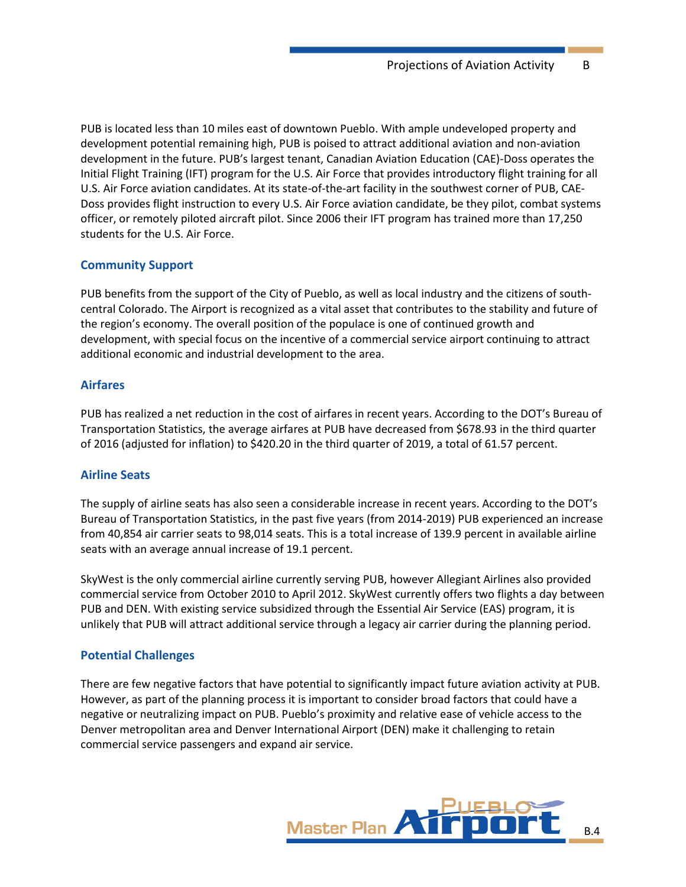PUB is located less than 10 miles east of downtown Pueblo. With ample undeveloped property and development potential remaining high, PUB is poised to attract additional aviation and non-aviation development in the future. PUB's largest tenant, Canadian Aviation Education (CAE)-Doss operates the Initial Flight Training (IFT) program for the U.S. Air Force that provides introductory flight training for all U.S. Air Force aviation candidates. At its state-of-the-art facility in the southwest corner of PUB, CAE-Doss provides flight instruction to every U.S. Air Force aviation candidate, be they pilot, combat systems officer, or remotely piloted aircraft pilot. Since 2006 their IFT program has trained more than 17,250 students for the U.S. Air Force.

#### **Community Support**

PUB benefits from the support of the City of Pueblo, as well as local industry and the citizens of southcentral Colorado. The Airport is recognized as a vital asset that contributes to the stability and future of the region's economy. The overall position of the populace is one of continued growth and development, with special focus on the incentive of a commercial service airport continuing to attract additional economic and industrial development to the area.

## **Airfares**

PUB has realized a net reduction in the cost of airfares in recent years. According to the DOT's Bureau of Transportation Statistics, the average airfares at PUB have decreased from \$678.93 in the third quarter of 2016 (adjusted for inflation) to \$420.20 in the third quarter of 2019, a total of 61.57 percent.

# **Airline Seats**

The supply of airline seats has also seen a considerable increase in recent years. According to the DOT's Bureau of Transportation Statistics, in the past five years (from 2014-2019) PUB experienced an increase from 40,854 air carrier seats to 98,014 seats. This is a total increase of 139.9 percent in available airline seats with an average annual increase of 19.1 percent.

SkyWest is the only commercial airline currently serving PUB, however Allegiant Airlines also provided commercial service from October 2010 to April 2012. SkyWest currently offers two flights a day between PUB and DEN. With existing service subsidized through the Essential Air Service (EAS) program, it is unlikely that PUB will attract additional service through a legacy air carrier during the planning period.

#### **Potential Challenges**

There are few negative factors that have potential to significantly impact future aviation activity at PUB. However, as part of the planning process it is important to consider broad factors that could have a negative or neutralizing impact on PUB. Pueblo's proximity and relative ease of vehicle access to the Denver metropolitan area and Denver International Airport (DEN) make it challenging to retain commercial service passengers and expand air service.

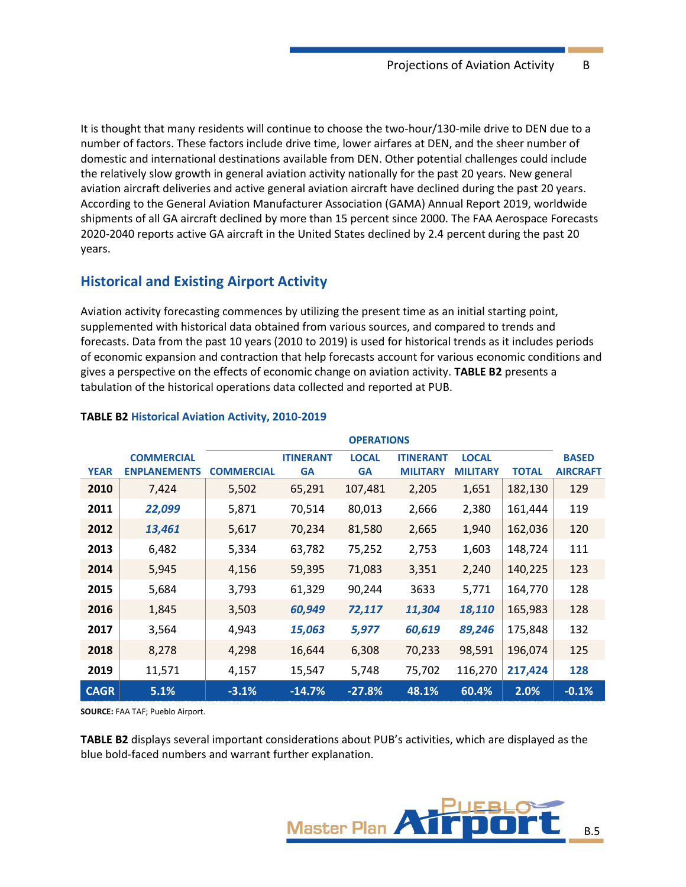It is thought that many residents will continue to choose the two-hour/130-mile drive to DEN due to a number of factors. These factors include drive time, lower airfares at DEN, and the sheer number of domestic and international destinations available from DEN. Other potential challenges could include the relatively slow growth in general aviation activity nationally for the past 20 years. New general aviation aircraft deliveries and active general aviation aircraft have declined during the past 20 years. According to the General Aviation Manufacturer Association (GAMA) Annual Report 2019, worldwide shipments of all GA aircraft declined by more than 15 percent since 2000. The FAA Aerospace Forecasts 2020-2040 reports active GA aircraft in the United States declined by 2.4 percent during the past 20 years.

# **Historical and Existing Airport Activity**

Aviation activity forecasting commences by utilizing the present time as an initial starting point, supplemented with historical data obtained from various sources, and compared to trends and forecasts. Data from the past 10 years (2010 to 2019) is used for historical trends as it includes periods of economic expansion and contraction that help forecasts account for various economic conditions and gives a perspective on the effects of economic change on aviation activity. **[TABLE B2](#page-4-0)** presents a tabulation of the historical operations data collected and reported at PUB.

|             |                     | <b>OPERATIONS</b> |                  |              |                  |                 |              |                 |
|-------------|---------------------|-------------------|------------------|--------------|------------------|-----------------|--------------|-----------------|
|             | <b>COMMERCIAL</b>   |                   | <b>ITINERANT</b> | <b>LOCAL</b> | <b>ITINERANT</b> | <b>LOCAL</b>    |              | <b>BASED</b>    |
| <b>YEAR</b> | <b>ENPLANEMENTS</b> | <b>COMMERCIAL</b> | <b>GA</b>        | <b>GA</b>    | <b>MILITARY</b>  | <b>MILITARY</b> | <b>TOTAL</b> | <b>AIRCRAFT</b> |
| 2010        | 7,424               | 5,502             | 65,291           | 107,481      | 2,205            | 1,651           | 182,130      | 129             |
| 2011        | 22,099              | 5,871             | 70,514           | 80,013       | 2,666            | 2,380           | 161,444      | 119             |
| 2012        | 13,461              | 5,617             | 70,234           | 81,580       | 2,665            | 1,940           | 162,036      | 120             |
| 2013        | 6,482               | 5,334             | 63,782           | 75,252       | 2,753            | 1,603           | 148,724      | 111             |
| 2014        | 5,945               | 4,156             | 59,395           | 71,083       | 3,351            | 2,240           | 140,225      | 123             |
| 2015        | 5,684               | 3,793             | 61,329           | 90,244       | 3633             | 5,771           | 164,770      | 128             |
| 2016        | 1,845               | 3,503             | 60,949           | 72,117       | 11,304           | 18,110          | 165,983      | 128             |
| 2017        | 3,564               | 4,943             | 15,063           | 5,977        | 60,619           | 89,246          | 175,848      | 132             |
| 2018        | 8,278               | 4,298             | 16,644           | 6,308        | 70,233           | 98,591          | 196,074      | 125             |
| 2019        | 11,571              | 4,157             | 15,547           | 5,748        | 75,702           | 116,270         | 217,424      | 128             |
| <b>CAGR</b> | 5.1%                | $-3.1%$           | $-14.7%$         | $-27.8%$     | 48.1%            | 60.4%           | 2.0%         | $-0.1%$         |

## <span id="page-4-0"></span>**TABLE B2 Historical Aviation Activity, 2010-2019**

**SOURCE:** FAA TAF; Pueblo Airport.

**[TABLE B2](#page-4-0)** displays several important considerations about PUB's activities, which are displayed as the blue bold-faced numbers and warrant further explanation.

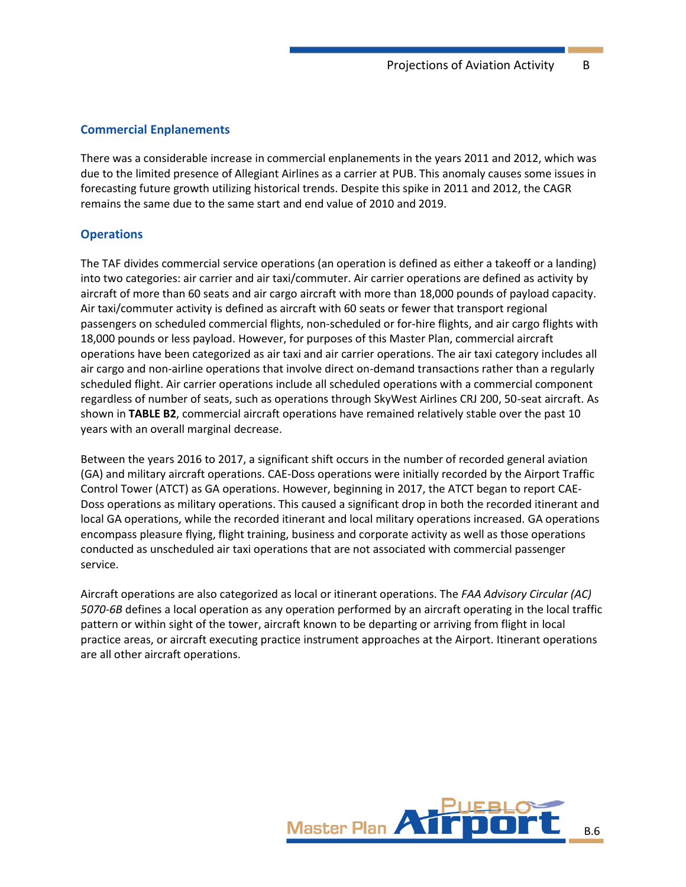## **Commercial Enplanements**

There was a considerable increase in commercial enplanements in the years 2011 and 2012, which was due to the limited presence of Allegiant Airlines as a carrier at PUB. This anomaly causes some issues in forecasting future growth utilizing historical trends. Despite this spike in 2011 and 2012, the CAGR remains the same due to the same start and end value of 2010 and 2019.

# **Operations**

The TAF divides commercial service operations (an operation is defined as either a takeoff or a landing) into two categories: air carrier and air taxi/commuter. Air carrier operations are defined as activity by aircraft of more than 60 seats and air cargo aircraft with more than 18,000 pounds of payload capacity. Air taxi/commuter activity is defined as aircraft with 60 seats or fewer that transport regional passengers on scheduled commercial flights, non-scheduled or for-hire flights, and air cargo flights with 18,000 pounds or less payload. However, for purposes of this Master Plan, commercial aircraft operations have been categorized as air taxi and air carrier operations. The air taxi category includes all air cargo and non-airline operations that involve direct on-demand transactions rather than a regularly scheduled flight. Air carrier operations include all scheduled operations with a commercial component regardless of number of seats, such as operations through SkyWest Airlines CRJ 200, 50-seat aircraft. As shown in **[TABLE B2](#page-4-0)**, commercial aircraft operations have remained relatively stable over the past 10 years with an overall marginal decrease.

Between the years 2016 to 2017, a significant shift occurs in the number of recorded general aviation (GA) and military aircraft operations. CAE-Doss operations were initially recorded by the Airport Traffic Control Tower (ATCT) as GA operations. However, beginning in 2017, the ATCT began to report CAE-Doss operations as military operations. This caused a significant drop in both the recorded itinerant and local GA operations, while the recorded itinerant and local military operations increased. GA operations encompass pleasure flying, flight training, business and corporate activity as well as those operations conducted as unscheduled air taxi operations that are not associated with commercial passenger service.

Aircraft operations are also categorized as local or itinerant operations. The *FAA Advisory Circular (AC) 5070-6B* defines a local operation as any operation performed by an aircraft operating in the local traffic pattern or within sight of the tower, aircraft known to be departing or arriving from flight in local practice areas, or aircraft executing practice instrument approaches at the Airport. Itinerant operations are all other aircraft operations.

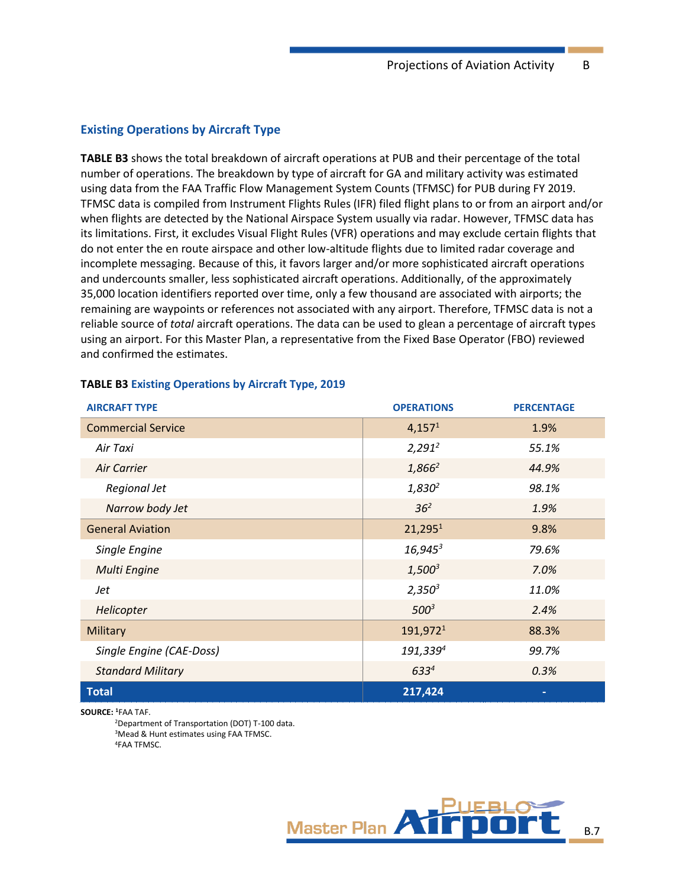#### **Existing Operations by Aircraft Type**

**[TABLE](#page-6-0) B3** shows the total breakdown of aircraft operations at PUB and their percentage of the total number of operations. The breakdown by type of aircraft for GA and military activity was estimated using data from the FAA Traffic Flow Management System Counts (TFMSC) for PUB during FY 2019. TFMSC data is compiled from Instrument Flights Rules (IFR) filed flight plans to or from an airport and/or when flights are detected by the National Airspace System usually via radar. However, TFMSC data has its limitations. First, it excludes Visual Flight Rules (VFR) operations and may exclude certain flights that do not enter the en route airspace and other low-altitude flights due to limited radar coverage and incomplete messaging. Because of this, it favors larger and/or more sophisticated aircraft operations and undercounts smaller, less sophisticated aircraft operations. Additionally, of the approximately 35,000 location identifiers reported over time, only a few thousand are associated with airports; the remaining are waypoints or references not associated with any airport. Therefore, TFMSC data is not a reliable source of *total* aircraft operations. The data can be used to glean a percentage of aircraft types using an airport. For this Master Plan, a representative from the Fixed Base Operator (FBO) reviewed and confirmed the estimates.

| <b>AIRCRAFT TYPE</b>      | <b>OPERATIONS</b>    | <b>PERCENTAGE</b> |
|---------------------------|----------------------|-------------------|
| <b>Commercial Service</b> | 4,157 <sup>1</sup>   | 1.9%              |
| Air Taxi                  | $2,291^2$            | 55.1%             |
| Air Carrier               | $1,866^2$            | 44.9%             |
| Regional Jet              | $1,830^2$            | 98.1%             |
| Narrow body Jet           | 36 <sup>2</sup>      | 1.9%              |
| <b>General Aviation</b>   | 21,295 <sup>1</sup>  | 9.8%              |
| Single Engine             | $16,945^3$           | 79.6%             |
| <b>Multi Engine</b>       | $1,500^3$            | 7.0%              |
| Jet                       | $2,350^3$            | 11.0%             |
| Helicopter                | $500^3$              | 2.4%              |
| Military                  | 191,972 <sup>1</sup> | 88.3%             |
| Single Engine (CAE-Doss)  | 191,3394             | 99.7%             |
| <b>Standard Military</b>  | $633^{4}$            | 0.3%              |
| <b>Total</b>              | 217,424              |                   |

#### <span id="page-6-0"></span>**TABLE B3 Existing Operations by Aircraft Type, 2019**

**SOURCE: <sup>1</sup>**FAA TAF.

<sup>2</sup>Department of Transportation (DOT) T-100 data. <sup>3</sup>Mead & Hunt estimates using FAA TFMSC. 4FAA TFMSC.

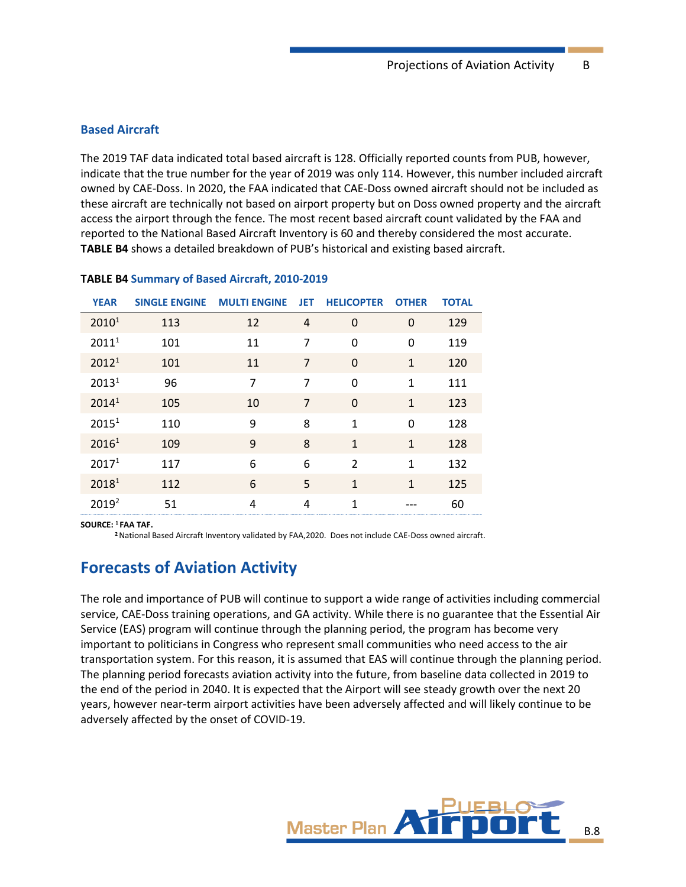#### **Based Aircraft**

The 2019 TAF data indicated total based aircraft is 128. Officially reported counts from PUB, however, indicate that the true number for the year of 2019 was only 114. However, this number included aircraft owned by CAE-Doss. In 2020, the FAA indicated that CAE-Doss owned aircraft should not be included as these aircraft are technically not based on airport property but on Doss owned property and the aircraft access the airport through the fence. The most recent based aircraft count validated by the FAA and reported to the National Based Aircraft Inventory is 60 and thereby considered the most accurate. **[TABLE B4](#page-7-0)** shows a detailed breakdown of PUB's historical and existing based aircraft.

| <b>YEAR</b>       | <b>SINGLE ENGINE</b> | <b>MULTI ENGINE</b> | <b>JET</b>     | <b>HELICOPTER</b> | <b>OTHER</b> | <b>TOTAL</b> |
|-------------------|----------------------|---------------------|----------------|-------------------|--------------|--------------|
| 2010 <sup>1</sup> | 113                  | 12                  | 4              | $\Omega$          | $\Omega$     | 129          |
| 2011 <sup>1</sup> | 101                  | 11                  | 7              | $\Omega$          | $\Omega$     | 119          |
| 2012 <sup>1</sup> | 101                  | 11                  | $\overline{7}$ | $\Omega$          | $\mathbf{1}$ | 120          |
| 2013 <sup>1</sup> | 96                   | 7                   | 7              | $\Omega$          | 1            | 111          |
| 2014 <sup>1</sup> | 105                  | 10                  | $\overline{7}$ | $\Omega$          | $\mathbf{1}$ | 123          |
| 2015 <sup>1</sup> | 110                  | 9                   | 8              | 1                 | $\Omega$     | 128          |
| 2016 <sup>1</sup> | 109                  | 9                   | 8              | $\mathbf{1}$      | $\mathbf{1}$ | 128          |
| 2017 <sup>1</sup> | 117                  | 6                   | 6              | $\mathfrak{p}$    | 1            | 132          |
| 2018 <sup>1</sup> | 112                  | 6                   | 5              | $\mathbf{1}$      | $\mathbf{1}$ | 125          |
| 2019 <sup>2</sup> | 51                   | 4                   | 4              | 1                 |              | 60           |

#### <span id="page-7-0"></span>**TABLE B4 Summary of Based Aircraft, 2010-2019**

**SOURCE: <sup>1</sup> FAA TAF.**

**<sup>2</sup>**National Based Aircraft Inventory validated by FAA,2020. Does not include CAE-Doss owned aircraft.

# **Forecasts of Aviation Activity**

The role and importance of PUB will continue to support a wide range of activities including commercial service, CAE-Doss training operations, and GA activity. While there is no guarantee that the Essential Air Service (EAS) program will continue through the planning period, the program has become very important to politicians in Congress who represent small communities who need access to the air transportation system. For this reason, it is assumed that EAS will continue through the planning period. The planning period forecasts aviation activity into the future, from baseline data collected in 2019 to the end of the period in 2040. It is expected that the Airport will see steady growth over the next 20 years, however near-term airport activities have been adversely affected and will likely continue to be adversely affected by the onset of COVID-19.

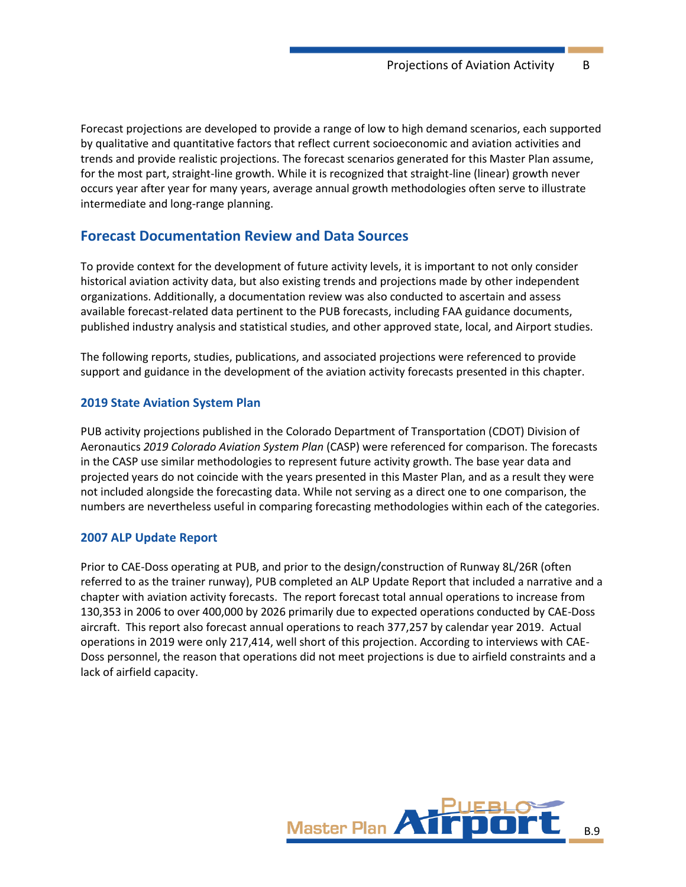Forecast projections are developed to provide a range of low to high demand scenarios, each supported by qualitative and quantitative factors that reflect current socioeconomic and aviation activities and trends and provide realistic projections. The forecast scenarios generated for this Master Plan assume, for the most part, straight-line growth. While it is recognized that straight-line (linear) growth never occurs year after year for many years, average annual growth methodologies often serve to illustrate intermediate and long-range planning.

# **Forecast Documentation Review and Data Sources**

To provide context for the development of future activity levels, it is important to not only consider historical aviation activity data, but also existing trends and projections made by other independent organizations. Additionally, a documentation review was also conducted to ascertain and assess available forecast-related data pertinent to the PUB forecasts, including FAA guidance documents, published industry analysis and statistical studies, and other approved state, local, and Airport studies.

The following reports, studies, publications, and associated projections were referenced to provide support and guidance in the development of the aviation activity forecasts presented in this chapter.

## **2019 State Aviation System Plan**

PUB activity projections published in the Colorado Department of Transportation (CDOT) Division of Aeronautics *2019 Colorado Aviation System Plan* (CASP) were referenced for comparison. The forecasts in the CASP use similar methodologies to represent future activity growth. The base year data and projected years do not coincide with the years presented in this Master Plan, and as a result they were not included alongside the forecasting data. While not serving as a direct one to one comparison, the numbers are nevertheless useful in comparing forecasting methodologies within each of the categories.

#### **2007 ALP Update Report**

Prior to CAE-Doss operating at PUB, and prior to the design/construction of Runway 8L/26R (often referred to as the trainer runway), PUB completed an ALP Update Report that included a narrative and a chapter with aviation activity forecasts. The report forecast total annual operations to increase from 130,353 in 2006 to over 400,000 by 2026 primarily due to expected operations conducted by CAE-Doss aircraft. This report also forecast annual operations to reach 377,257 by calendar year 2019. Actual operations in 2019 were only 217,414, well short of this projection. According to interviews with CAE-Doss personnel, the reason that operations did not meet projections is due to airfield constraints and a lack of airfield capacity.

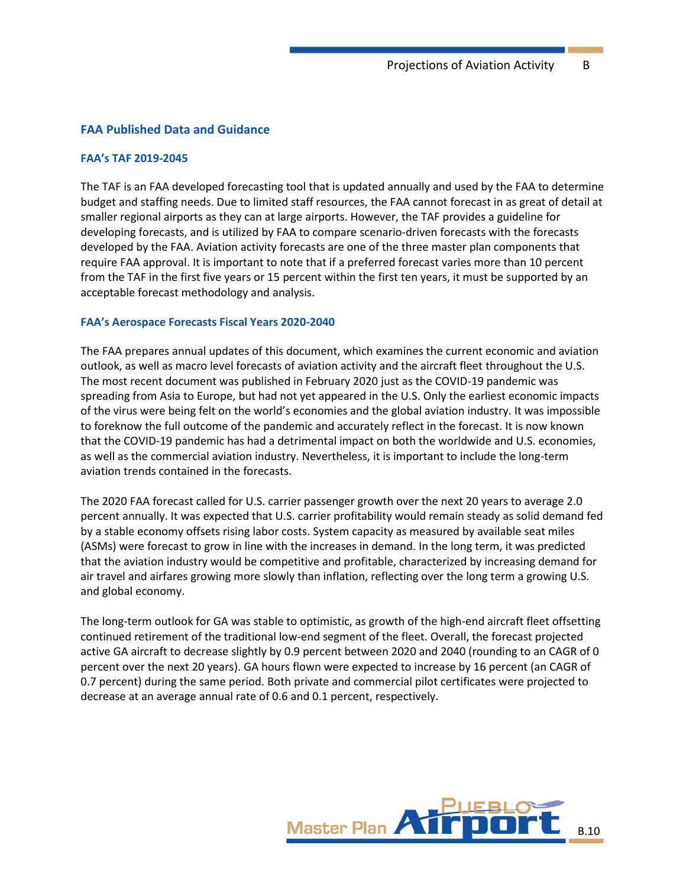#### **FAA Published Data and Guidance**

#### **FAA's TAF 2019-2045**

The TAF is an FAA developed forecasting tool that is updated annually and used by the FAA to determine budget and staffing needs. Due to limited staff resources, the FAA cannot forecast in as great of detail at smaller regional airports as they can at large airports. However, the TAF provides a guideline for developing forecasts, and is utilized by FAA to compare scenario-driven forecasts with the forecasts developed by the FAA. Aviation activity forecasts are one of the three master plan components that require FAA approval. It is important to note that if a preferred forecast varies more than 10 percent from the TAF in the first five years or 15 percent within the first ten years, it must be supported by an acceptable forecast methodology and analysis.

#### **FAA's Aerospace Forecasts Fiscal Years 2020-2040**

The FAA prepares annual updates of this document, which examines the current economic and aviation outlook, as well as macro level forecasts of aviation activity and the aircraft fleet throughout the U.S. The most recent document was published in February 2020 just as the COVID-19 pandemic was spreading from Asia to Europe, but had not yet appeared in the U.S. Only the earliest economic impacts of the virus were being felt on the world's economies and the global aviation industry. It was impossible to foreknow the full outcome of the pandemic and accurately reflect in the forecast. It is now known that the COVID-19 pandemic has had a detrimental impact on both the worldwide and U.S. economies, as well as the commercial aviation industry. Nevertheless, it is important to include the long-term aviation trends contained in the forecasts.

The 2020 FAA forecast called for U.S. carrier passenger growth over the next 20 years to average 2.0 percent annually. It was expected that U.S. carrier profitability would remain steady as solid demand fed by a stable economy offsets rising labor costs. System capacity as measured by available seat miles (ASMs) were forecast to grow in line with the increases in demand. In the long term, it was predicted that the aviation industry would be competitive and profitable, characterized by increasing demand for air travel and airfares growing more slowly than inflation, reflecting over the long term a growing U.S. and global economy.

The long-term outlook for GA was stable to optimistic, as growth of the high-end aircraft fleet offsetting continued retirement of the traditional low-end segment of the fleet. Overall, the forecast projected active GA aircraft to decrease slightly by 0.9 percent between 2020 and 2040 (rounding to an CAGR of 0 percent over the next 20 years). GA hours flown were expected to increase by 16 percent (an CAGR of 0.7 percent) during the same period. Both private and commercial pilot certificates were projected to decrease at an average annual rate of 0.6 and 0.1 percent, respectively.

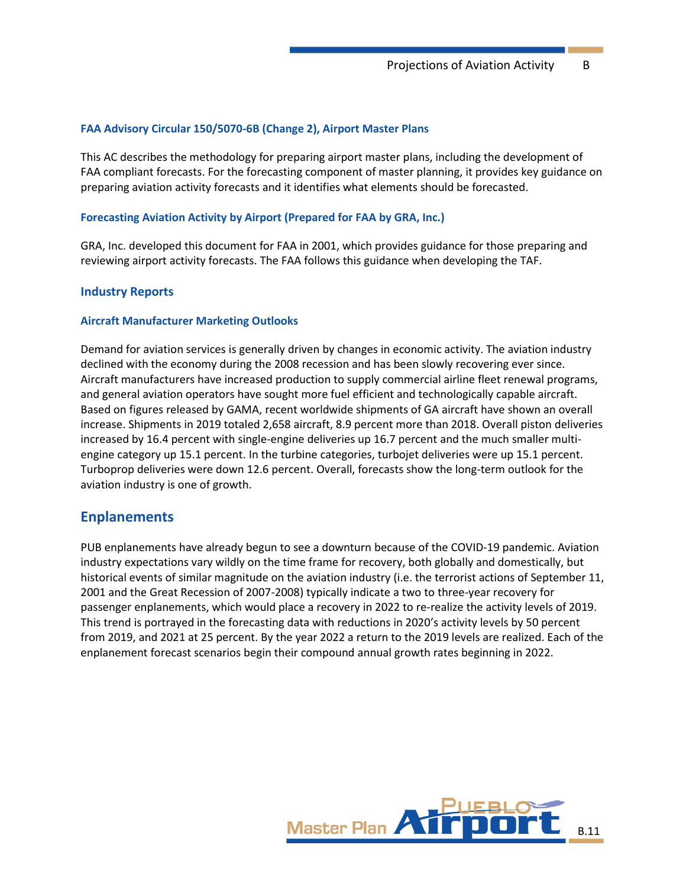#### **FAA Advisory Circular 150/5070-6B (Change 2), Airport Master Plans**

This AC describes the methodology for preparing airport master plans, including the development of FAA compliant forecasts. For the forecasting component of master planning, it provides key guidance on preparing aviation activity forecasts and it identifies what elements should be forecasted.

#### **Forecasting Aviation Activity by Airport (Prepared for FAA by GRA, Inc.)**

GRA, Inc. developed this document for FAA in 2001, which provides guidance for those preparing and reviewing airport activity forecasts. The FAA follows this guidance when developing the TAF.

#### **Industry Reports**

#### **Aircraft Manufacturer Marketing Outlooks**

Demand for aviation services is generally driven by changes in economic activity. The aviation industry declined with the economy during the 2008 recession and has been slowly recovering ever since. Aircraft manufacturers have increased production to supply commercial airline fleet renewal programs, and general aviation operators have sought more fuel efficient and technologically capable aircraft. Based on figures released by GAMA, recent worldwide shipments of GA aircraft have shown an overall increase. Shipments in 2019 totaled 2,658 aircraft, 8.9 percent more than 2018. Overall piston deliveries increased by 16.4 percent with single-engine deliveries up 16.7 percent and the much smaller multiengine category up 15.1 percent. In the turbine categories, turbojet deliveries were up 15.1 percent. Turboprop deliveries were down 12.6 percent. Overall, forecasts show the long-term outlook for the aviation industry is one of growth.

# **Enplanements**

PUB enplanements have already begun to see a downturn because of the COVID-19 pandemic. Aviation industry expectations vary wildly on the time frame for recovery, both globally and domestically, but historical events of similar magnitude on the aviation industry (i.e. the terrorist actions of September 11, 2001 and the Great Recession of 2007-2008) typically indicate a two to three-year recovery for passenger enplanements, which would place a recovery in 2022 to re-realize the activity levels of 2019. This trend is portrayed in the forecasting data with reductions in 2020's activity levels by 50 percent from 2019, and 2021 at 25 percent. By the year 2022 a return to the 2019 levels are realized. Each of the enplanement forecast scenarios begin their compound annual growth rates beginning in 2022.

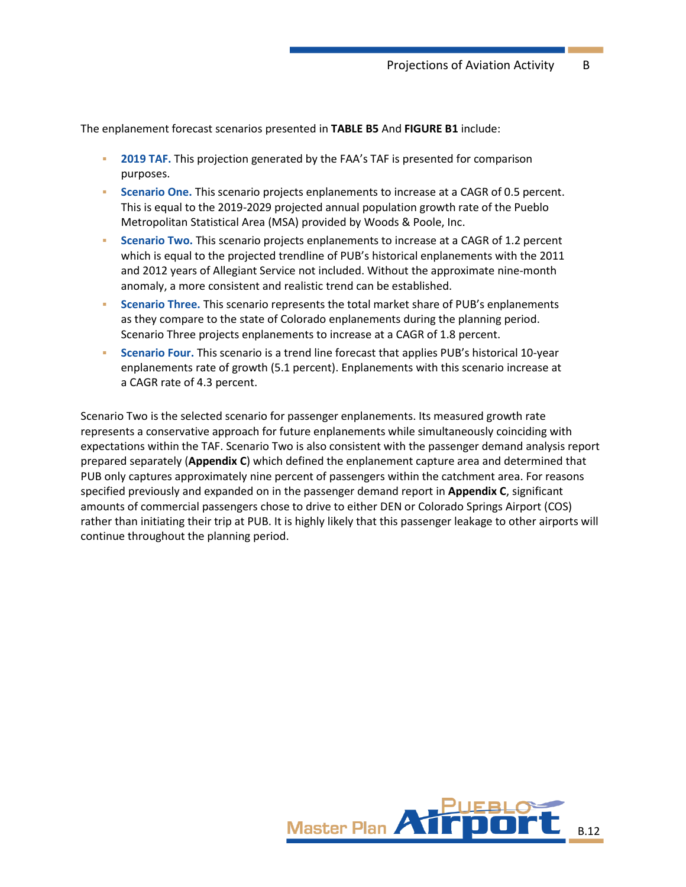The enplanement forecast scenarios presented in **[TABLE B5](#page-12-0)** And **[FIGURE B1](#page-13-0)** include:

- **2019 TAF.** This projection generated by the FAA's TAF is presented for comparison purposes.
- **Scenario One.** This scenario projects enplanements to increase at a CAGR of 0.5 percent. This is equal to the 2019-2029 projected annual population growth rate of the Pueblo Metropolitan Statistical Area (MSA) provided by Woods & Poole, Inc.
- **Scenario Two.** This scenario projects enplanements to increase at a CAGR of 1.2 percent which is equal to the projected trendline of PUB's historical enplanements with the 2011 and 2012 years of Allegiant Service not included. Without the approximate nine-month anomaly, a more consistent and realistic trend can be established.
- **Scenario Three.** This scenario represents the total market share of PUB's enplanements as they compare to the state of Colorado enplanements during the planning period. Scenario Three projects enplanements to increase at a CAGR of 1.8 percent.
- Scenario Four. This scenario is a trend line forecast that applies PUB's historical 10-year enplanements rate of growth (5.1 percent). Enplanements with this scenario increase at a CAGR rate of 4.3 percent.

Scenario Two is the selected scenario for passenger enplanements. Its measured growth rate represents a conservative approach for future enplanements while simultaneously coinciding with expectations within the TAF. Scenario Two is also consistent with the passenger demand analysis report prepared separately (**Appendix C**) which defined the enplanement capture area and determined that PUB only captures approximately nine percent of passengers within the catchment area. For reasons specified previously and expanded on in the passenger demand report in **Appendix C**, significant amounts of commercial passengers chose to drive to either DEN or Colorado Springs Airport (COS) rather than initiating their trip at PUB. It is highly likely that this passenger leakage to other airports will continue throughout the planning period.

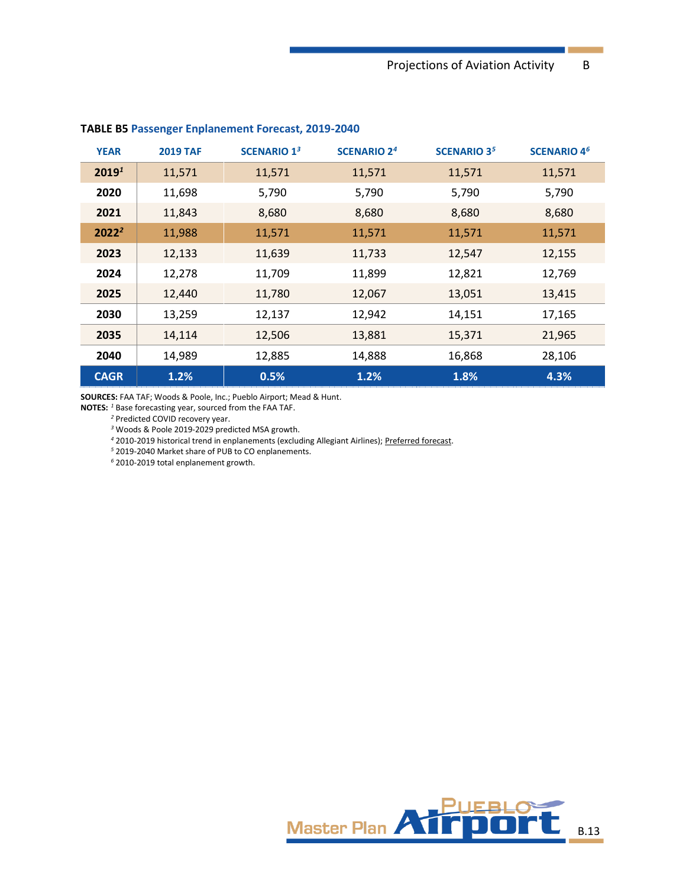| <b>YEAR</b>       | <b>2019 TAF</b> | <b>SCENARIO 13</b> | <b>SCENARIO 24</b> | <b>SCENARIO 35</b> | <b>SCENARIO 4<sup>6</sup></b> |
|-------------------|-----------------|--------------------|--------------------|--------------------|-------------------------------|
| 2019 <sup>1</sup> | 11,571          | 11,571             | 11,571             | 11,571             | 11,571                        |
| 2020              | 11,698          | 5,790              | 5,790              | 5,790              | 5,790                         |
| 2021              | 11,843          | 8,680              | 8,680              | 8,680              | 8,680                         |
| $2022^2$          | 11,988          | 11,571             | 11,571             | 11,571             | 11,571                        |
| 2023              | 12,133          | 11,639             | 11,733             | 12,547             | 12,155                        |
| 2024              | 12,278          | 11,709             | 11,899             | 12,821             | 12,769                        |
| 2025              | 12,440          | 11,780             | 12,067             | 13,051             | 13,415                        |
| 2030              | 13,259          | 12,137             | 12,942             | 14,151             | 17,165                        |
| 2035              | 14,114          | 12,506             | 13,881             | 15,371             | 21,965                        |
| 2040              | 14,989          | 12,885             | 14,888             | 16,868             | 28,106                        |
| <b>CAGR</b>       | 1.2%            | 0.5%               | 1.2%               | 1.8%               | 4.3%                          |

#### <span id="page-12-0"></span>**TABLE B5 Passenger Enplanement Forecast, 2019-2040**

**SOURCES:** FAA TAF; Woods & Poole, Inc.; Pueblo Airport; Mead & Hunt.

**NOTES:** *<sup>1</sup>* Base forecasting year, sourced from the FAA TAF.

Predicted COVID recovery year.

Woods & Poole 2019-2029 predicted MSA growth.

2010-2019 historical trend in enplanements (excluding Allegiant Airlines); Preferred forecast.

2019-2040 Market share of PUB to CO enplanements.

2010-2019 total enplanement growth.

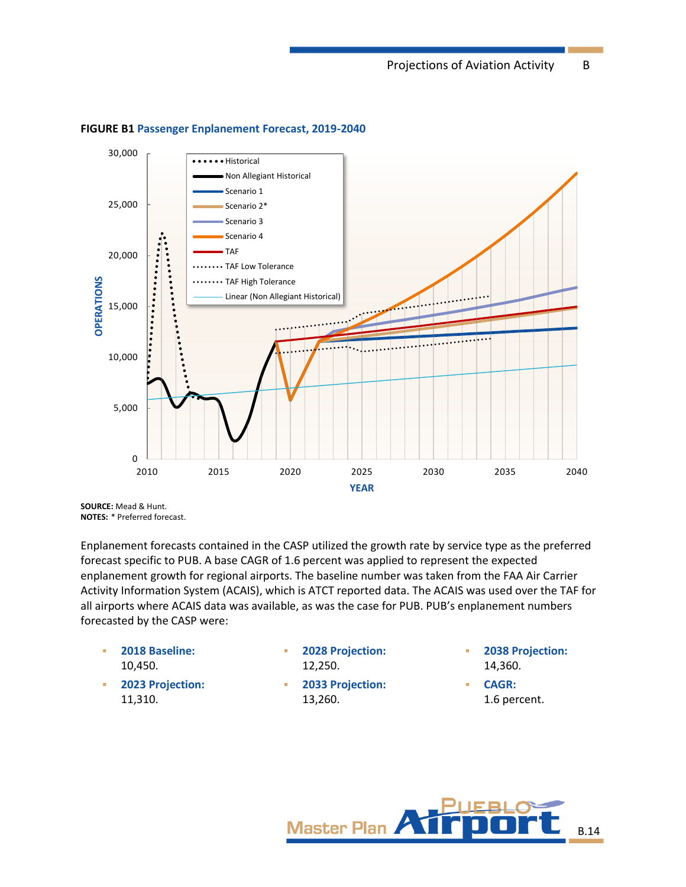

#### <span id="page-13-0"></span>**FIGURE B1 Passenger Enplanement Forecast, 2019-2040**

**SOURCE:** Mead & Hunt. **NOTES:** \* Preferred forecast.

Enplanement forecasts contained in the CASP utilized the growth rate by service type as the preferred forecast specific to PUB. A base CAGR of 1.6 percent was applied to represent the expected enplanement growth for regional airports. The baseline number was taken from the FAA Air Carrier Activity Information System (ACAIS), which is ATCT reported data. The ACAIS was used over the TAF for all airports where ACAIS data was available, as was the case for PUB. PUB's enplanement numbers forecasted by the CASP were:

- **2018 Baseline:** 10,450.
- **2023 Projection:**  11,310.
- **2028 Projection:** 
	- 12,250.
- 2033 Projection: 13,260.
- **2038 Projection:**  14,360.
- **CAGR:** 1.6 percent.

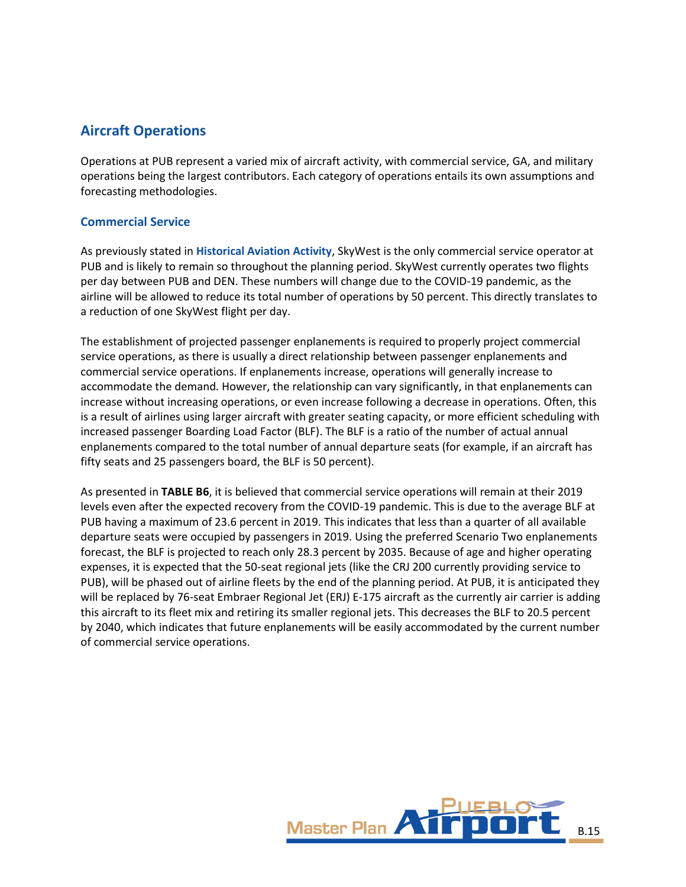# **Aircraft Operations**

Operations at PUB represent a varied mix of aircraft activity, with commercial service, GA, and military operations being the largest contributors. Each category of operations entails its own assumptions and forecasting methodologies.

# **Commercial Service**

As previously stated in **Historical Aviation Activity**, SkyWest is the only commercial service operator at PUB and is likely to remain so throughout the planning period. SkyWest currently operates two flights per day between PUB and DEN. These numbers will change due to the COVID-19 pandemic, as the airline will be allowed to reduce its total number of operations by 50 percent. This directly translates to a reduction of one SkyWest flight per day.

The establishment of projected passenger enplanements is required to properly project commercial service operations, as there is usually a direct relationship between passenger enplanements and commercial service operations. If enplanements increase, operations will generally increase to accommodate the demand. However, the relationship can vary significantly, in that enplanements can increase without increasing operations, or even increase following a decrease in operations. Often, this is a result of airlines using larger aircraft with greater seating capacity, or more efficient scheduling with increased passenger Boarding Load Factor (BLF). The BLF is a ratio of the number of actual annual enplanements compared to the total number of annual departure seats (for example, if an aircraft has fifty seats and 25 passengers board, the BLF is 50 percent).

As presented in **[TABLE B6](#page-15-0)**, it is believed that commercial service operations will remain at their 2019 levels even after the expected recovery from the COVID-19 pandemic. This is due to the average BLF at PUB having a maximum of 23.6 percent in 2019. This indicates that less than a quarter of all available departure seats were occupied by passengers in 2019. Using the preferred Scenario Two enplanements forecast, the BLF is projected to reach only 28.3 percent by 2035. Because of age and higher operating expenses, it is expected that the 50-seat regional jets (like the CRJ 200 currently providing service to PUB), will be phased out of airline fleets by the end of the planning period. At PUB, it is anticipated they will be replaced by 76-seat Embraer Regional Jet (ERJ) E-175 aircraft as the currently air carrier is adding this aircraft to its fleet mix and retiring its smaller regional jets. This decreases the BLF to 20.5 percent by 2040, which indicates that future enplanements will be easily accommodated by the current number of commercial service operations.

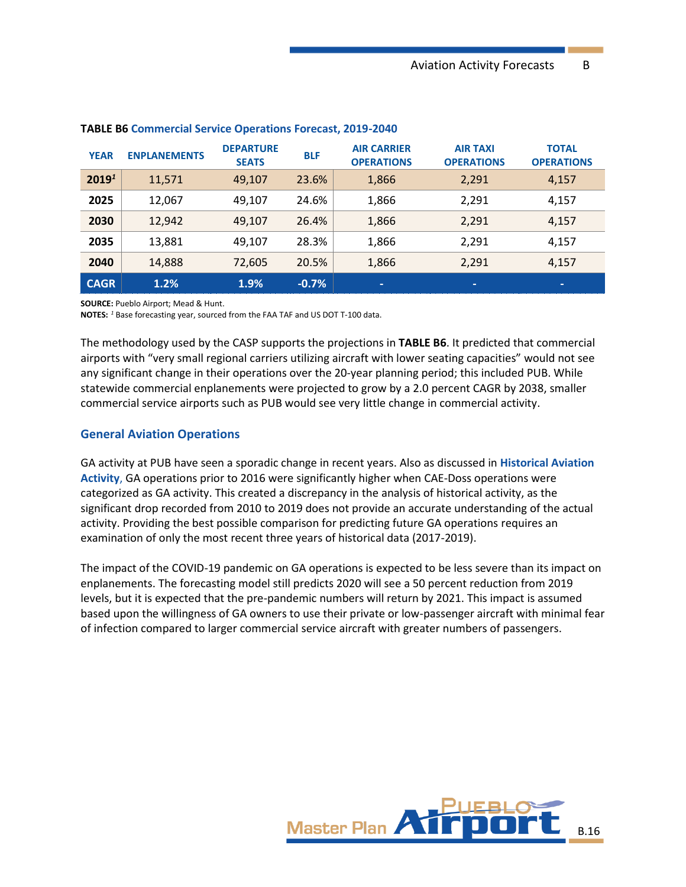| <b>YEAR</b>       | <b>ENPLANEMENTS</b> | <b>DEPARTURE</b><br><b>SEATS</b> | <b>BLF</b> | <b>AIR CARRIER</b><br><b>OPERATIONS</b> | <b>AIR TAXI</b><br><b>OPERATIONS</b> | <b>TOTAL</b><br><b>OPERATIONS</b> |
|-------------------|---------------------|----------------------------------|------------|-----------------------------------------|--------------------------------------|-----------------------------------|
| 2019 <sup>1</sup> | 11,571              | 49,107                           | 23.6%      | 1,866                                   | 2,291                                | 4,157                             |
| 2025              | 12,067              | 49.107                           | 24.6%      | 1,866                                   | 2,291                                | 4,157                             |
| 2030              | 12,942              | 49.107                           | 26.4%      | 1,866                                   | 2,291                                | 4,157                             |
| 2035              | 13,881              | 49,107                           | 28.3%      | 1,866                                   | 2,291                                | 4,157                             |
| 2040              | 14,888              | 72,605                           | 20.5%      | 1,866                                   | 2,291                                | 4,157                             |
| <b>CAGR</b>       | 1.2%                | 1.9%                             | $-0.7%$    | -                                       | -                                    | $\overline{\phantom{a}}$          |

#### <span id="page-15-0"></span>**TABLE B6 Commercial Service Operations Forecast, 2019-2040**

**SOURCE:** Pueblo Airport; Mead & Hunt.

**NOTES:** *<sup>1</sup>* Base forecasting year, sourced from the FAA TAF and US DOT T-100 data.

The methodology used by the CASP supports the projections in **[TABLE B6](#page-15-0)**. It predicted that commercial airports with "very small regional carriers utilizing aircraft with lower seating capacities" would not see any significant change in their operations over the 20-year planning period; this included PUB. While statewide commercial enplanements were projected to grow by a 2.0 percent CAGR by 2038, smaller commercial service airports such as PUB would see very little change in commercial activity.

#### **General Aviation Operations**

GA activity at PUB have seen a sporadic change in recent years. Also as discussed in **Historical Aviation Activity**, GA operations prior to 2016 were significantly higher when CAE-Doss operations were categorized as GA activity. This created a discrepancy in the analysis of historical activity, as the significant drop recorded from 2010 to 2019 does not provide an accurate understanding of the actual activity. Providing the best possible comparison for predicting future GA operations requires an examination of only the most recent three years of historical data (2017-2019).

The impact of the COVID-19 pandemic on GA operations is expected to be less severe than its impact on enplanements. The forecasting model still predicts 2020 will see a 50 percent reduction from 2019 levels, but it is expected that the pre-pandemic numbers will return by 2021. This impact is assumed based upon the willingness of GA owners to use their private or low-passenger aircraft with minimal fear of infection compared to larger commercial service aircraft with greater numbers of passengers.

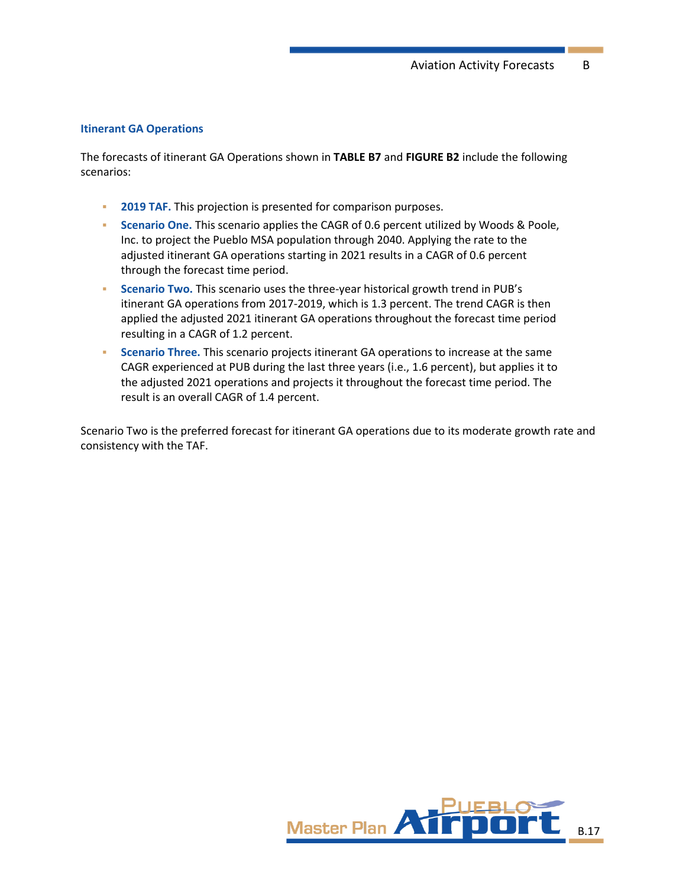#### **Itinerant GA Operations**

The forecasts of itinerant GA Operations shown in **[TABLE B7](#page-17-0)** and **[FIGURE B2](#page-18-0)** include the following scenarios:

- **2019 TAF.** This projection is presented for comparison purposes.
- **EXECTE 20 In Scenario One.** This scenario applies the CAGR of 0.6 percent utilized by Woods & Poole, Inc. to project the Pueblo MSA population through 2040. Applying the rate to the adjusted itinerant GA operations starting in 2021 results in a CAGR of 0.6 percent through the forecast time period.
- **Scenario Two.** This scenario uses the three-year historical growth trend in PUB's itinerant GA operations from 2017-2019, which is 1.3 percent. The trend CAGR is then applied the adjusted 2021 itinerant GA operations throughout the forecast time period resulting in a CAGR of 1.2 percent.
- **EXECTE SCENATION THREE.** This scenario projects itinerant GA operations to increase at the same CAGR experienced at PUB during the last three years (i.e., 1.6 percent), but applies it to the adjusted 2021 operations and projects it throughout the forecast time period. The result is an overall CAGR of 1.4 percent.

Scenario Two is the preferred forecast for itinerant GA operations due to its moderate growth rate and consistency with the TAF.

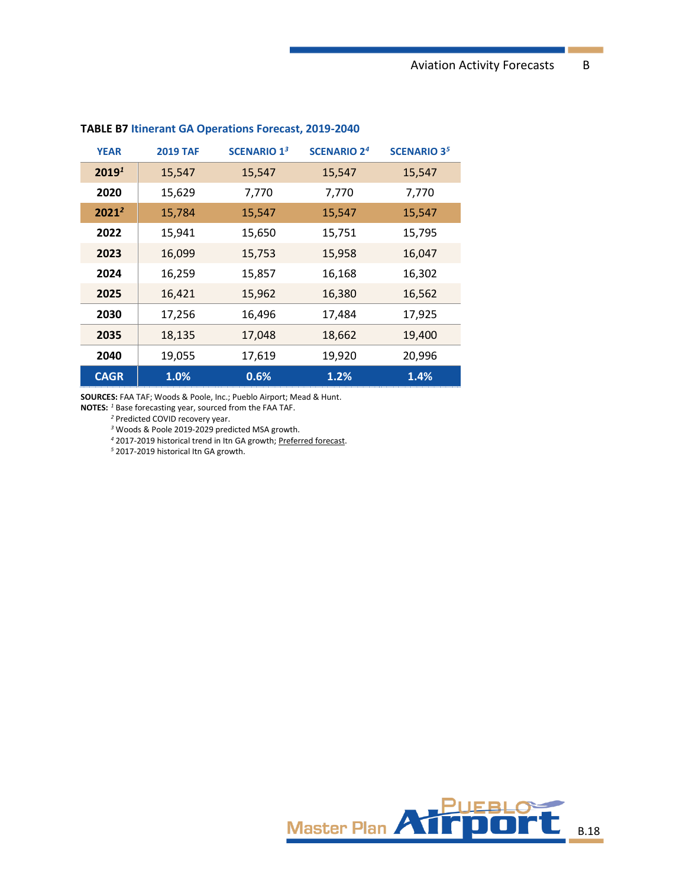| <b>YEAR</b>       | <b>2019 TAF</b> | <b>SCENARIO 13</b> | <b>SCENARIO 24</b> | <b>SCENARIO 35</b> |
|-------------------|-----------------|--------------------|--------------------|--------------------|
| 2019 <sup>1</sup> | 15,547          | 15,547             | 15,547             | 15,547             |
| 2020              | 15,629          | 7,770              | 7,770              | 7,770              |
| $2021^2$          | 15,784          | 15,547             | 15,547             | 15,547             |
| 2022              | 15,941          | 15,650             | 15,751             | 15,795             |
| 2023              | 16,099          | 15,753             | 15,958             | 16,047             |
| 2024              | 16,259          | 15,857             | 16,168             | 16,302             |
| 2025              | 16,421          | 15,962             | 16,380             | 16,562             |
| 2030              | 17,256          | 16,496             | 17,484             | 17,925             |
| 2035              | 18,135          | 17,048             | 18,662             | 19,400             |
| 2040              | 19,055          | 17,619             | 19,920             | 20,996             |
| <b>CAGR</b>       | 1.0%            | 0.6%               | 1.2%               | 1.4%               |

#### <span id="page-17-0"></span>**TABLE B7 Itinerant GA Operations Forecast, 2019-2040**

**SOURCES:** FAA TAF; Woods & Poole, Inc.; Pueblo Airport; Mead & Hunt.

**NOTES:** *<sup>1</sup>* Base forecasting year, sourced from the FAA TAF.

Predicted COVID recovery year.

Woods & Poole 2019-2029 predicted MSA growth.

2017-2019 historical trend in Itn GA growth; Preferred forecast.

2017-2019 historical Itn GA growth.

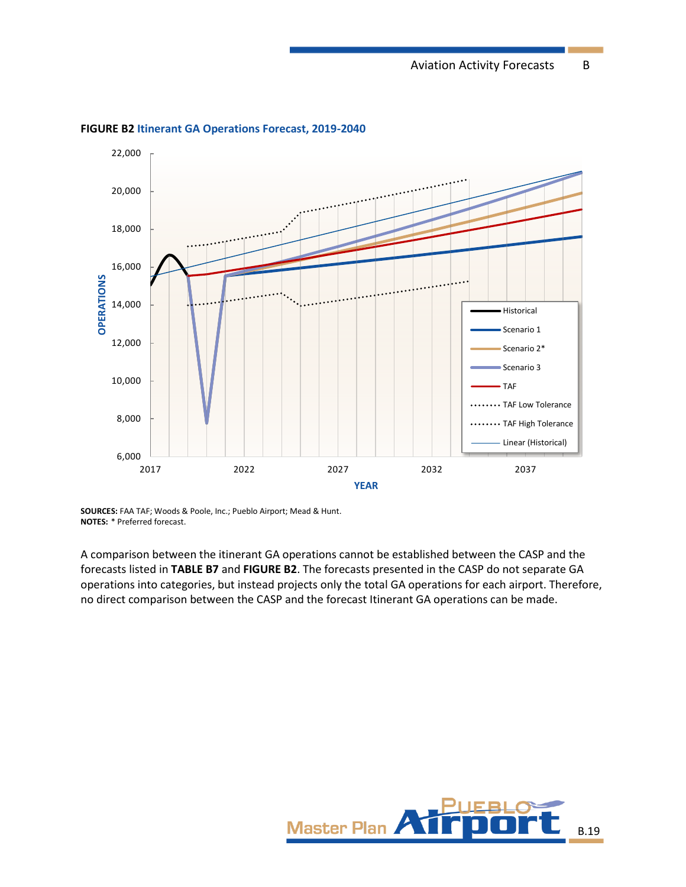

<span id="page-18-0"></span>**FIGURE B2 Itinerant GA Operations Forecast, 2019-2040**

**SOURCES:** FAA TAF; Woods & Poole, Inc.; Pueblo Airport; Mead & Hunt. **NOTES:** \* Preferred forecast.

A comparison between the itinerant GA operations cannot be established between the CASP and the forecasts listed in **[TABLE B7](#page-17-0)** and **[FIGURE B2](#page-18-0)**. The forecasts presented in the CASP do not separate GA operations into categories, but instead projects only the total GA operations for each airport. Therefore, no direct comparison between the CASP and the forecast Itinerant GA operations can be made.

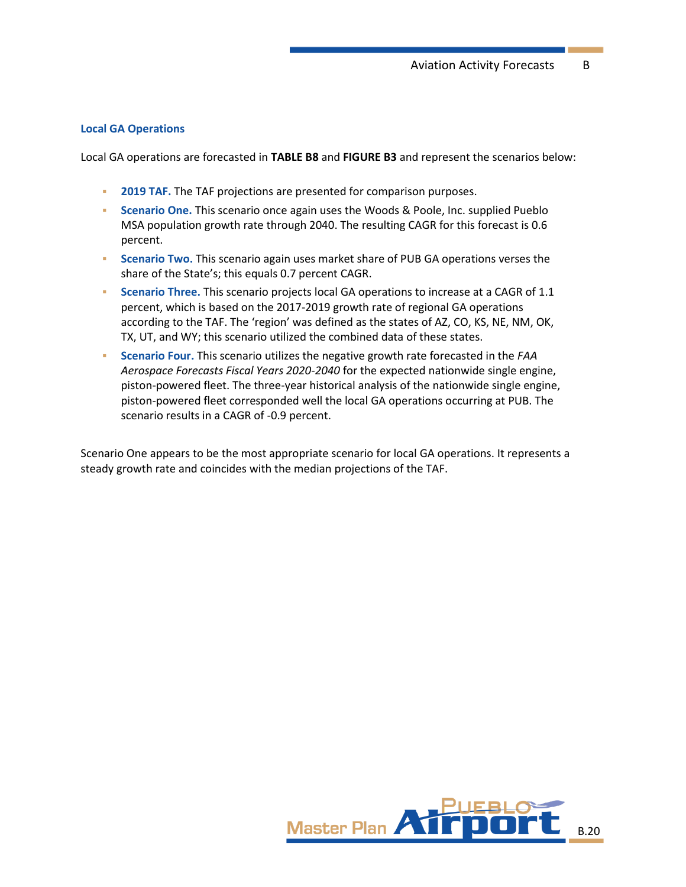#### **Local GA Operations**

Local GA operations are forecasted in **[TABLE B8](#page-20-0)** and **[FIGURE B3](#page-21-0)** and represent the scenarios below:

- **2019 TAF.** The TAF projections are presented for comparison purposes.
- **EXECTE Scenario One.** This scenario once again uses the Woods & Poole, Inc. supplied Pueblo MSA population growth rate through 2040. The resulting CAGR for this forecast is 0.6 percent.
- **Scenario Two.** This scenario again uses market share of PUB GA operations verses the share of the State's; this equals 0.7 percent CAGR.
- **Scenario Three.** This scenario projects local GA operations to increase at a CAGR of 1.1 percent, which is based on the 2017-2019 growth rate of regional GA operations according to the TAF. The 'region' was defined as the states of AZ, CO, KS, NE, NM, OK, TX, UT, and WY; this scenario utilized the combined data of these states.
- **Scenario Four.** This scenario utilizes the negative growth rate forecasted in the *FAA Aerospace Forecasts Fiscal Years 2020-2040* for the expected nationwide single engine, piston-powered fleet. The three-year historical analysis of the nationwide single engine, piston-powered fleet corresponded well the local GA operations occurring at PUB. The scenario results in a CAGR of -0.9 percent.

Scenario One appears to be the most appropriate scenario for local GA operations. It represents a steady growth rate and coincides with the median projections of the TAF.

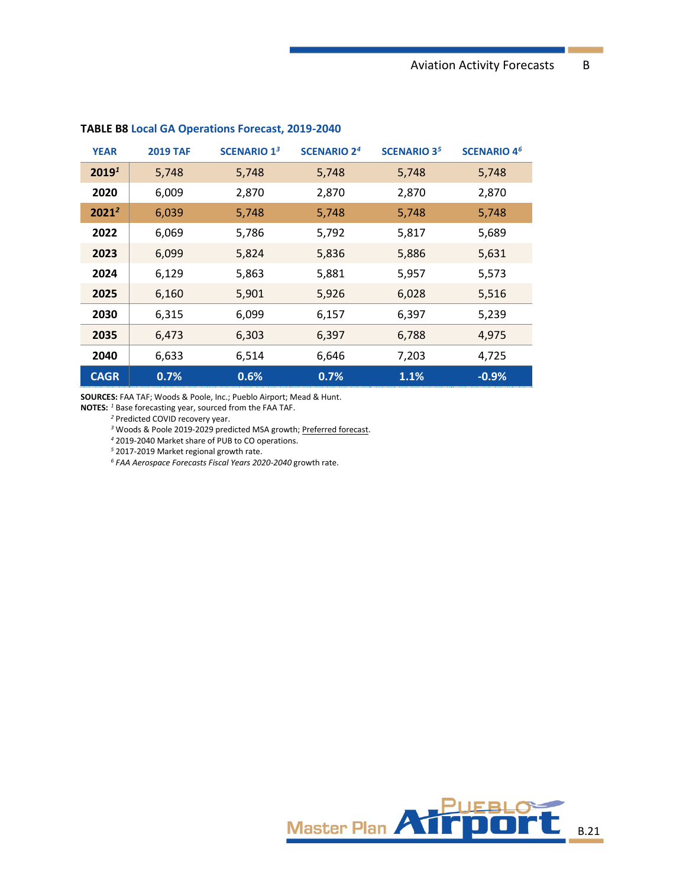| <b>YEAR</b>       | <b>2019 TAF</b> | <b>SCENARIO 13</b> | <b>SCENARIO 2<sup>4</sup></b> | <b>SCENARIO 35</b> | <b>SCENARIO 4<sup>6</sup></b> |
|-------------------|-----------------|--------------------|-------------------------------|--------------------|-------------------------------|
| 2019 <sup>1</sup> | 5,748           | 5,748              | 5,748                         | 5,748              | 5,748                         |
| 2020              | 6,009           | 2,870              | 2,870                         | 2,870              | 2,870                         |
| $2021^2$          | 6,039           | 5,748              | 5,748                         | 5,748              | 5,748                         |
| 2022              | 6,069           | 5,786              | 5,792                         | 5,817              | 5,689                         |
| 2023              | 6,099           | 5,824              | 5,836                         | 5,886              | 5,631                         |
| 2024              | 6,129           | 5,863              | 5,881                         | 5,957              | 5,573                         |
| 2025              | 6,160           | 5,901              | 5,926                         | 6,028              | 5,516                         |
| 2030              | 6,315           | 6,099              | 6,157                         | 6,397              | 5,239                         |
| 2035              | 6,473           | 6,303              | 6,397                         | 6,788              | 4,975                         |
| 2040              | 6,633           | 6,514              | 6,646                         | 7,203              | 4,725                         |
| <b>CAGR</b>       | 0.7%            | 0.6%               | 0.7%                          | 1.1%               | $-0.9%$                       |

#### <span id="page-20-0"></span>**TABLE B8 Local GA Operations Forecast, 2019-2040**

**SOURCES:** FAA TAF; Woods & Poole, Inc.; Pueblo Airport; Mead & Hunt.

**NOTES:** *<sup>1</sup>* Base forecasting year, sourced from the FAA TAF.

Predicted COVID recovery year.

Woods & Poole 2019-2029 predicted MSA growth; Preferred forecast.

2019-2040 Market share of PUB to CO operations.

2017-2019 Market regional growth rate.

*FAA Aerospace Forecasts Fiscal Years 2020-2040* growth rate.

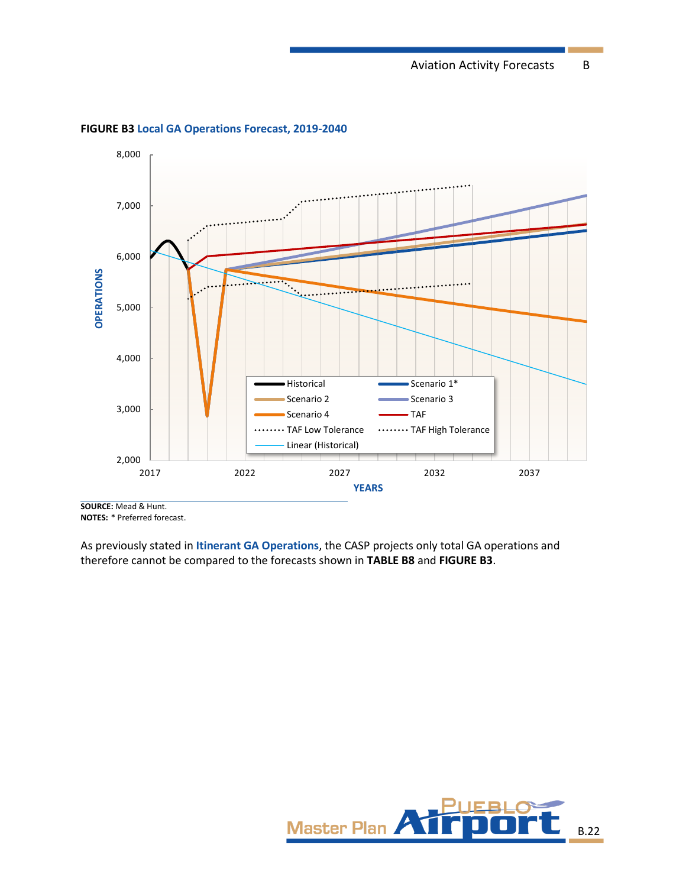

<span id="page-21-0"></span>**FIGURE B3 Local GA Operations Forecast, 2019-2040**

**SOURCE:** Mead & Hunt. **NOTES:** \* Preferred forecast.

As previously stated in **Itinerant GA Operations**, the CASP projects only total GA operations and therefore cannot be compared to the forecasts shown in **[TABLE B8](#page-20-0)** and **[FIGURE B3](#page-21-0)**.

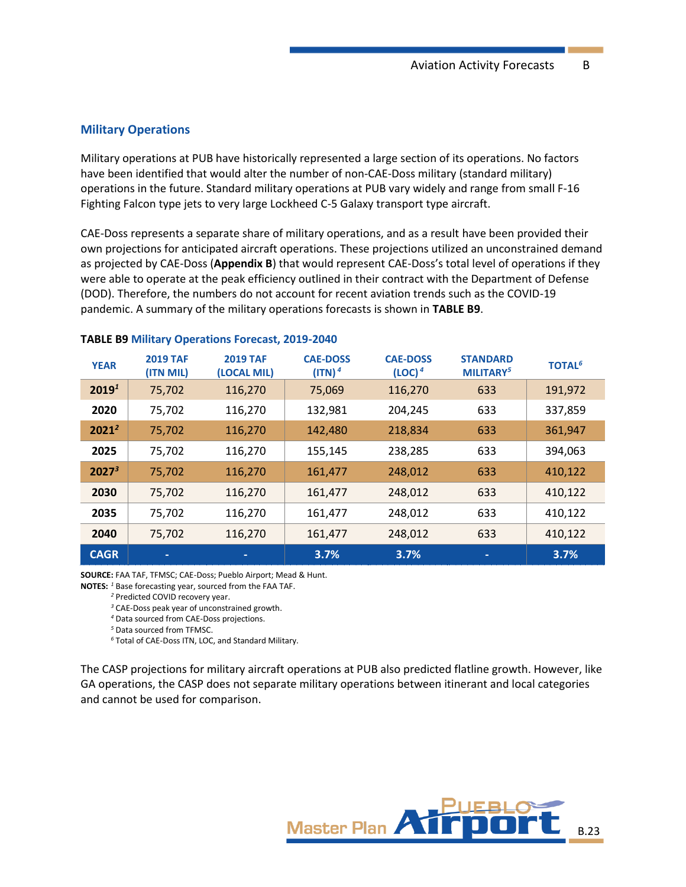#### **Military Operations**

Military operations at PUB have historically represented a large section of its operations. No factors have been identified that would alter the number of non-CAE-Doss military (standard military) operations in the future. Standard military operations at PUB vary widely and range from small F-16 Fighting Falcon type jets to very large Lockheed C-5 Galaxy transport type aircraft.

CAE-Doss represents a separate share of military operations, and as a result have been provided their own projections for anticipated aircraft operations. These projections utilized an unconstrained demand as projected by CAE-Doss (**Appendix B**) that would represent CAE-Doss's total level of operations if they were able to operate at the peak efficiency outlined in their contract with the Department of Defense (DOD). Therefore, the numbers do not account for recent aviation trends such as the COVID-19 pandemic. A summary of the military operations forecasts is shown in **[TABLE B9](#page-22-0)**.

| <b>YEAR</b>       | <b>2019 TAF</b><br>(ITN MIL) | <b>2019 TAF</b><br>(LOCAL MIL) | <b>CAE-DOSS</b><br>(ITN) <sup>4</sup> | <b>CAE-DOSS</b><br>(LOC) <sup>4</sup> | <b>STANDARD</b><br>MILITARY <sup>5</sup> | <b>TOTAL<sup>6</sup></b> |
|-------------------|------------------------------|--------------------------------|---------------------------------------|---------------------------------------|------------------------------------------|--------------------------|
| 2019 <sup>1</sup> | 75,702                       | 116,270                        | 75,069                                | 116,270                               | 633                                      | 191,972                  |
| 2020              | 75,702                       | 116,270                        | 132,981                               | 204,245                               | 633                                      | 337,859                  |
| $2021^2$          | 75,702                       | 116,270                        | 142,480                               | 218,834                               | 633                                      | 361,947                  |
| 2025              | 75,702                       | 116,270                        | 155,145                               | 238,285                               | 633                                      | 394,063                  |
| $2027^3$          | 75,702                       | 116,270                        | 161,477                               | 248,012                               | 633                                      | 410,122                  |
| 2030              | 75,702                       | 116,270                        | 161,477                               | 248,012                               | 633                                      | 410,122                  |
| 2035              | 75,702                       | 116,270                        | 161,477                               | 248,012                               | 633                                      | 410,122                  |
| 2040              | 75,702                       | 116,270                        | 161,477                               | 248,012                               | 633                                      | 410,122                  |
| <b>CAGR</b>       | ٠                            |                                | 3.7%                                  | 3.7%                                  | ٠                                        | 3.7%                     |

#### <span id="page-22-0"></span>**TABLE B9 Military Operations Forecast, 2019-2040**

**SOURCE:** FAA TAF, TFMSC; CAE-Doss; Pueblo Airport; Mead & Hunt.

**NOTES:** *<sup>1</sup>* Base forecasting year, sourced from the FAA TAF.

*<sup>2</sup>* Predicted COVID recovery year.

*<sup>3</sup>* CAE-Doss peak year of unconstrained growth.

*<sup>4</sup>* Data sourced from CAE-Doss projections.

*<sup>5</sup>* Data sourced from TFMSC.

*<sup>6</sup>* Total of CAE-Doss ITN, LOC, and Standard Military.

The CASP projections for military aircraft operations at PUB also predicted flatline growth. However, like GA operations, the CASP does not separate military operations between itinerant and local categories and cannot be used for comparison.

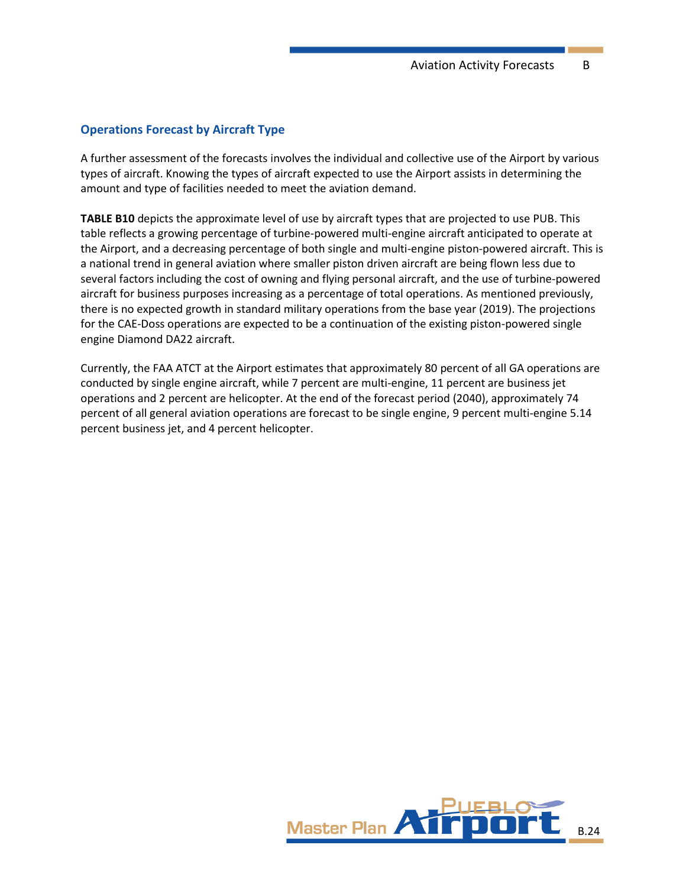#### **Operations Forecast by Aircraft Type**

A further assessment of the forecasts involves the individual and collective use of the Airport by various types of aircraft. Knowing the types of aircraft expected to use the Airport assists in determining the amount and type of facilities needed to meet the aviation demand.

**[TABLE](#page-24-0) B10** depicts the approximate level of use by aircraft types that are projected to use PUB. This table reflects a growing percentage of turbine-powered multi-engine aircraft anticipated to operate at the Airport, and a decreasing percentage of both single and multi-engine piston-powered aircraft. This is a national trend in general aviation where smaller piston driven aircraft are being flown less due to several factors including the cost of owning and flying personal aircraft, and the use of turbine-powered aircraft for business purposes increasing as a percentage of total operations. As mentioned previously, there is no expected growth in standard military operations from the base year (2019). The projections for the CAE-Doss operations are expected to be a continuation of the existing piston-powered single engine Diamond DA22 aircraft.

Currently, the FAA ATCT at the Airport estimates that approximately 80 percent of all GA operations are conducted by single engine aircraft, while 7 percent are multi-engine, 11 percent are business jet operations and 2 percent are helicopter. At the end of the forecast period (2040), approximately 74 percent of all general aviation operations are forecast to be single engine, 9 percent multi-engine 5.14 percent business jet, and 4 percent helicopter.

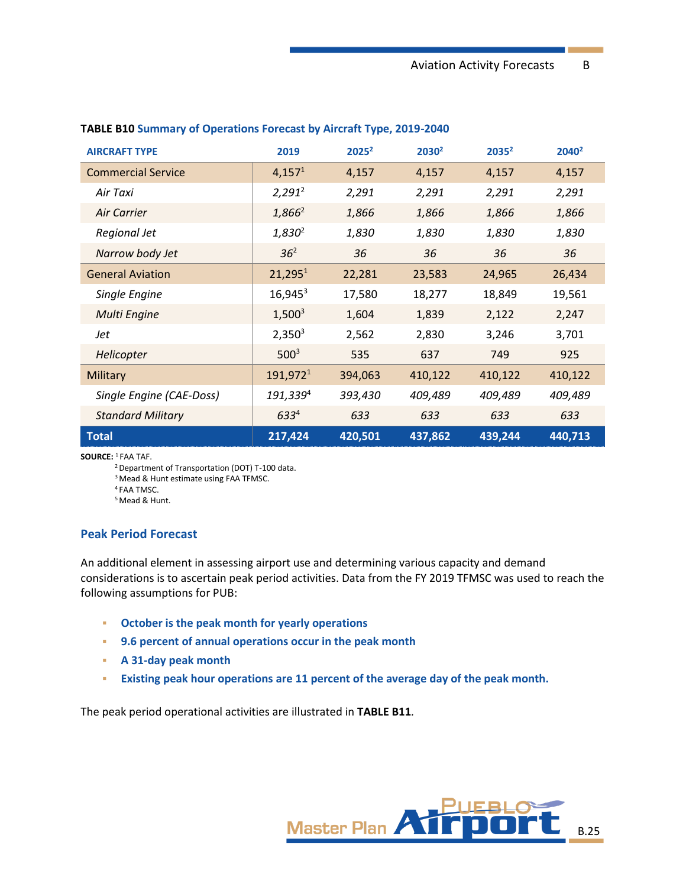| <b>AIRCRAFT TYPE</b>      | 2019                 | $2025^2$ | 2030 <sup>2</sup> | $2035^2$ | $2040^2$ |
|---------------------------|----------------------|----------|-------------------|----------|----------|
| <b>Commercial Service</b> | 4,157 <sup>1</sup>   | 4,157    | 4,157             | 4,157    | 4,157    |
| Air Taxi                  | $2,291^2$            | 2,291    | 2,291             | 2,291    | 2,291    |
| Air Carrier               | $1,866^2$            | 1,866    | 1,866             | 1,866    | 1,866    |
| Regional Jet              | $1,830^2$            | 1,830    | 1,830             | 1,830    | 1,830    |
| Narrow body Jet           | 36 <sup>2</sup>      | 36       | 36                | 36       | 36       |
| <b>General Aviation</b>   | 21,295 <sup>1</sup>  | 22,281   | 23,583            | 24,965   | 26,434   |
| Single Engine             | $16,945^3$           | 17,580   | 18,277            | 18,849   | 19,561   |
| <b>Multi Engine</b>       | $1,500^3$            | 1,604    | 1,839             | 2,122    | 2,247    |
| Jet                       | $2,350^3$            | 2,562    | 2,830             | 3,246    | 3,701    |
| Helicopter                | $500^3$              | 535      | 637               | 749      | 925      |
| Military                  | 191,972 <sup>1</sup> | 394,063  | 410,122           | 410,122  | 410,122  |
| Single Engine (CAE-Doss)  | 191,339 <sup>4</sup> | 393,430  | 409,489           | 409,489  | 409,489  |
| <b>Standard Military</b>  | $633^{4}$            | 633      | 633               | 633      | 633      |
| <b>Total</b>              | 217,424              | 420,501  | 437,862           | 439,244  | 440,713  |

#### <span id="page-24-0"></span>**TABLE B10 Summary of Operations Forecast by Aircraft Type, 2019-2040**

**SOURCE:** <sup>1</sup>FAA TAF.

<sup>2</sup> Department of Transportation (DOT) T-100 data.

<sup>3</sup> Mead & Hunt estimate using FAA TFMSC.

<sup>4</sup> FAA TMSC.

<sup>5</sup> Mead & Hunt.

#### **Peak Period Forecast**

An additional element in assessing airport use and determining various capacity and demand considerations is to ascertain peak period activities. Data from the FY 2019 TFMSC was used to reach the following assumptions for PUB:

- **October is the peak month for yearly operations**
- **9.6 percent of annual operations occur in the peak month**
- **A 31-day peak month**
- **Existing peak hour operations are 11 percent of the average day of the peak month.**

The peak period operational activities are illustrated in **[TABLE](#page-25-0) B11***.*

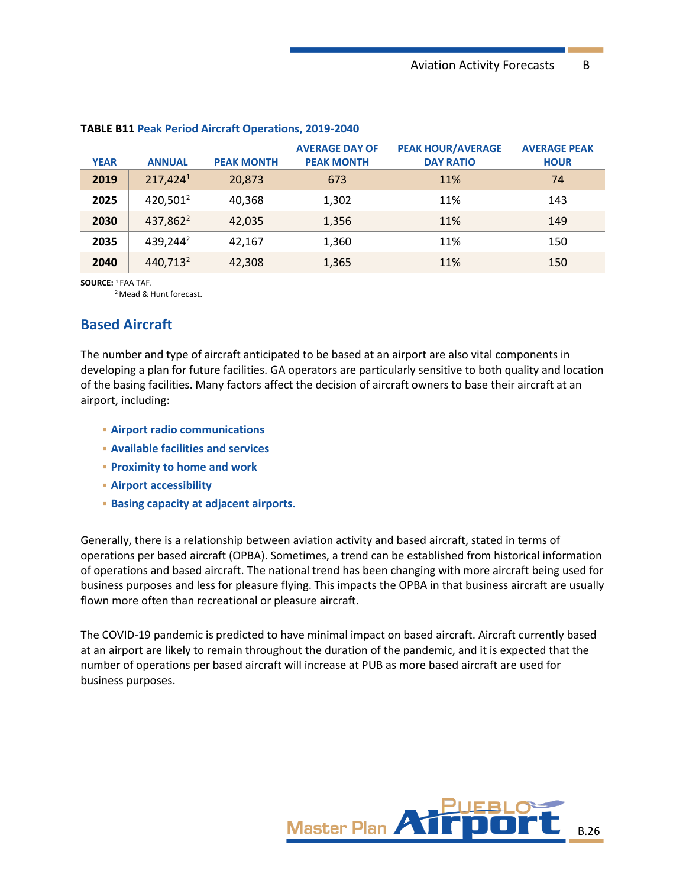| <b>YEAR</b> | <b>ANNUAL</b>        | <b>PEAK MONTH</b> | <b>AVERAGE DAY OF</b><br><b>PEAK MONTH</b> | <b>PEAK HOUR/AVERAGE</b><br><b>DAY RATIO</b> | <b>AVERAGE PEAK</b><br><b>HOUR</b> |
|-------------|----------------------|-------------------|--------------------------------------------|----------------------------------------------|------------------------------------|
| 2019        | 217,4241             | 20,873            | 673                                        | 11%                                          | 74                                 |
| 2025        | 420,501 <sup>2</sup> | 40,368            | 1,302                                      | 11%                                          | 143                                |
| 2030        | 437,862 <sup>2</sup> | 42,035            | 1,356                                      | 11%                                          | 149                                |
| 2035        | 439,244 <sup>2</sup> | 42,167            | 1,360                                      | 11%                                          | 150                                |
| 2040        | 440,713 <sup>2</sup> | 42,308            | 1,365                                      | 11%                                          | 150                                |

#### <span id="page-25-0"></span>**TABLE B11 Peak Period Aircraft Operations, 2019-2040**

**SOURCE:** <sup>1</sup> FAA TAF.

<sup>2</sup> Mead & Hunt forecast.

## **Based Aircraft**

The number and type of aircraft anticipated to be based at an airport are also vital components in developing a plan for future facilities. GA operators are particularly sensitive to both quality and location of the basing facilities. Many factors affect the decision of aircraft owners to base their aircraft at an airport, including:

- **Airport radio communications**
- **Available facilities and services**
- **Proximity to home and work**
- **Airport accessibility**
- **Basing capacity at adjacent airports.**

Generally, there is a relationship between aviation activity and based aircraft, stated in terms of operations per based aircraft (OPBA). Sometimes, a trend can be established from historical information of operations and based aircraft. The national trend has been changing with more aircraft being used for business purposes and less for pleasure flying. This impacts the OPBA in that business aircraft are usually flown more often than recreational or pleasure aircraft.

The COVID-19 pandemic is predicted to have minimal impact on based aircraft. Aircraft currently based at an airport are likely to remain throughout the duration of the pandemic, and it is expected that the number of operations per based aircraft will increase at PUB as more based aircraft are used for business purposes.

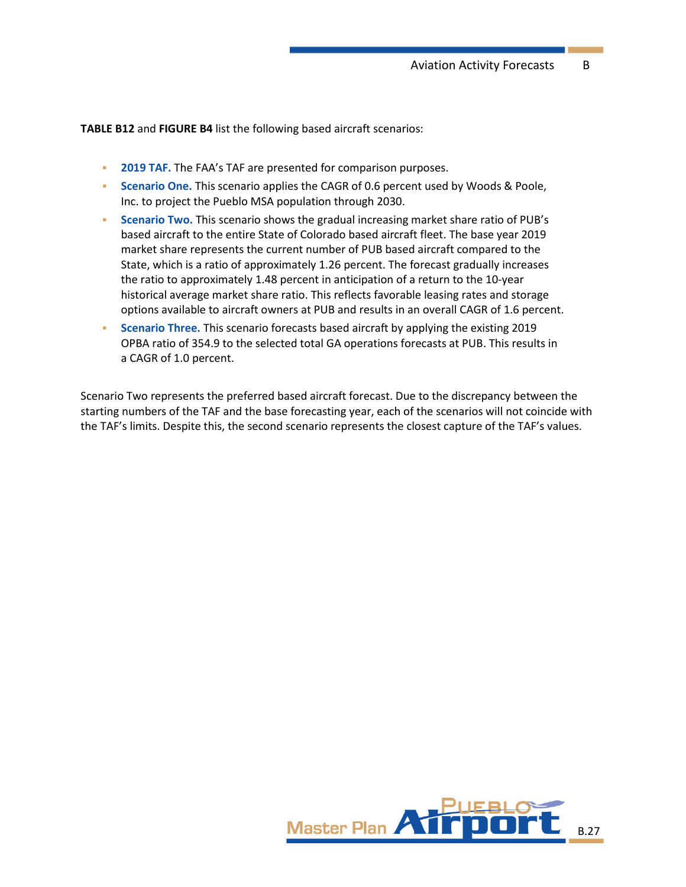**[TABLE B12](#page-27-0)** and **[FIGURE B4](#page-27-1)** list the following based aircraft scenarios:

- **EXECTED TAF.** The FAA's TAF are presented for comparison purposes.
- **EXECT** Scenario One. This scenario applies the CAGR of 0.6 percent used by Woods & Poole, Inc. to project the Pueblo MSA population through 2030.
- **Scenario Two.** This scenario shows the gradual increasing market share ratio of PUB's based aircraft to the entire State of Colorado based aircraft fleet. The base year 2019 market share represents the current number of PUB based aircraft compared to the State, which is a ratio of approximately 1.26 percent. The forecast gradually increases the ratio to approximately 1.48 percent in anticipation of a return to the 10-year historical average market share ratio. This reflects favorable leasing rates and storage options available to aircraft owners at PUB and results in an overall CAGR of 1.6 percent.
- **Scenario Three.** This scenario forecasts based aircraft by applying the existing 2019 OPBA ratio of 354.9 to the selected total GA operations forecasts at PUB. This results in a CAGR of 1.0 percent.

Scenario Two represents the preferred based aircraft forecast. Due to the discrepancy between the starting numbers of the TAF and the base forecasting year, each of the scenarios will not coincide with the TAF's limits. Despite this, the second scenario represents the closest capture of the TAF's values.

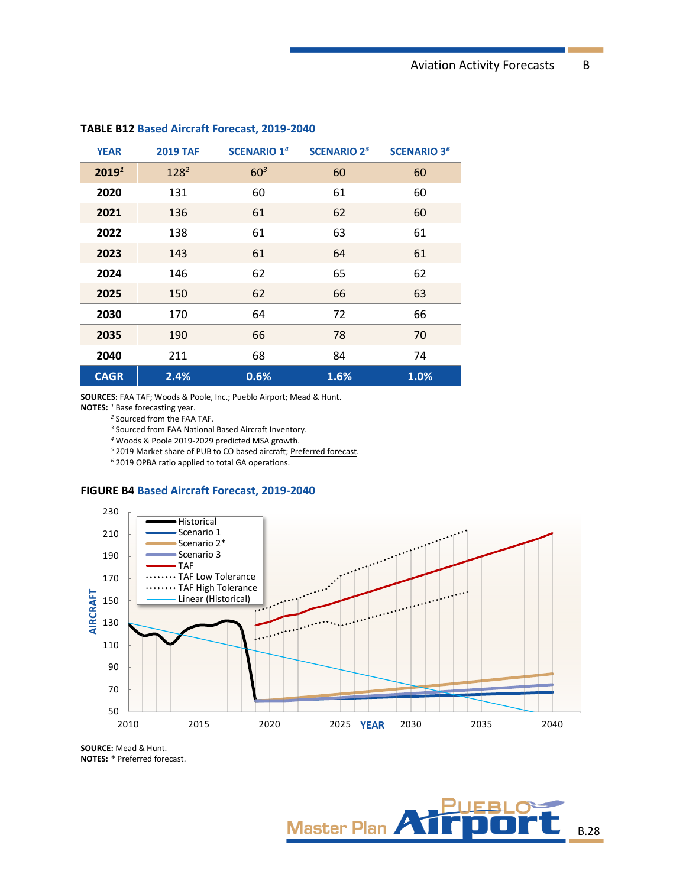| <b>YEAR</b>       | <b>2019 TAF</b> | <b>SCENARIO 1<sup>4</sup></b> | <b>SCENARIO 2<sup>5</sup></b> | <b>SCENARIO 3<sup>6</sup></b> |
|-------------------|-----------------|-------------------------------|-------------------------------|-------------------------------|
| 2019 <sup>1</sup> | $128^2$         | 60 <sup>3</sup>               | 60                            | 60                            |
| 2020              | 131             | 60                            | 61                            | 60                            |
| 2021              | 136             | 61                            | 62                            | 60                            |
| 2022              | 138             | 61                            | 63                            | 61                            |
| 2023              | 143             | 61                            | 64                            | 61                            |
| 2024              | 146             | 62                            | 65                            | 62                            |
| 2025              | 150             | 62                            | 66                            | 63                            |
| 2030              | 170             | 64                            | 72                            | 66                            |
| 2035              | 190             | 66                            | 78                            | 70                            |
| 2040              | 211             | 68                            | 84                            | 74                            |
| <b>CAGR</b>       | 2.4%            | 0.6%                          | 1.6%                          | 1.0%                          |

#### <span id="page-27-0"></span>**TABLE B12 Based Aircraft Forecast, 2019-2040**

**SOURCES:** FAA TAF; Woods & Poole, Inc.; Pueblo Airport; Mead & Hunt.

**NOTES:** *<sup>1</sup>* Base forecasting year.

*<sup>2</sup>* Sourced from the FAA TAF.

*<sup>3</sup>* Sourced from FAA National Based Aircraft Inventory.

*<sup>4</sup>* Woods & Poole 2019-2029 predicted MSA growth.

*<sup>5</sup>* 2019 Market share of PUB to CO based aircraft; Preferred forecast.

*<sup>6</sup>* 2019 OPBA ratio applied to total GA operations.

#### <span id="page-27-1"></span>**FIGURE B4 Based Aircraft Forecast, 2019-2040**



**SOURCE:** Mead & Hunt. **NOTES:** \* Preferred forecast.

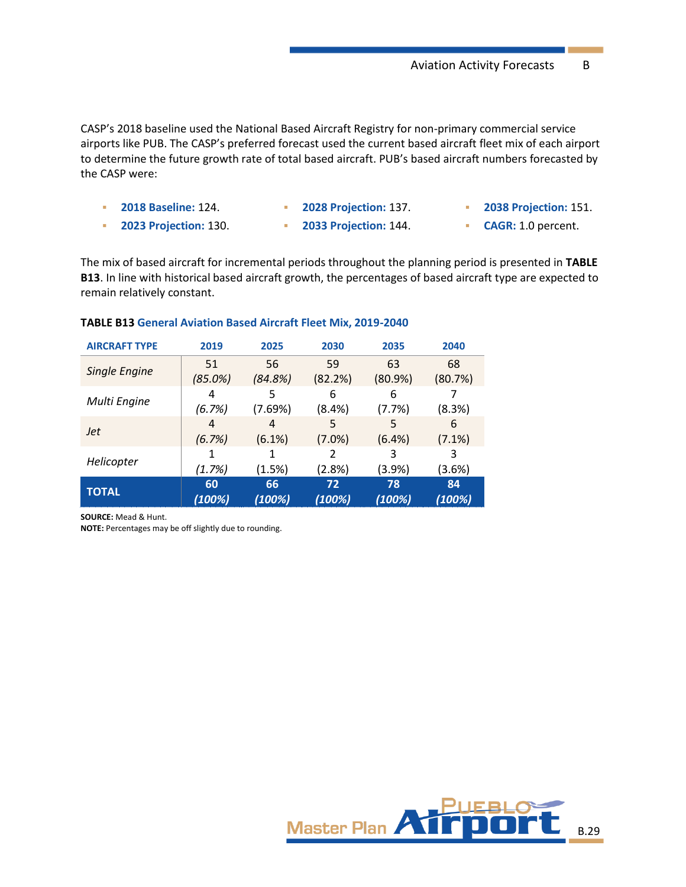CASP's 2018 baseline used the National Based Aircraft Registry for non-primary commercial service airports like PUB. The CASP's preferred forecast used the current based aircraft fleet mix of each airport to determine the future growth rate of total based aircraft. PUB's based aircraft numbers forecasted by the CASP were:

| <b>2018 Baseline: 124.</b>   | <b>2028 Projection: 137.</b> | <b>2038 Projection: 151.</b> |
|------------------------------|------------------------------|------------------------------|
| <b>2023 Projection: 130.</b> | <b>2033 Projection: 144.</b> | <b>CAGR: 1.0 percent.</b>    |

The mix of based aircraft for incremental periods throughout the planning period is presented in **[TABLE](#page-28-0) [B13](#page-28-0)**. In line with historical based aircraft growth, the percentages of based aircraft type are expected to remain relatively constant.

| <b>AIRCRAFT TYPE</b> | 2019           | 2025         | 2030                                   | 2035         | 2040         |
|----------------------|----------------|--------------|----------------------------------------|--------------|--------------|
| <b>Single Engine</b> | 51             | 56           | 59                                     | 63           | 68           |
|                      | (85.0%)        | (84.8%)      |                                        | (80.9%)      | (80.7%)      |
| Multi Engine         | 4              | 5            | 6                                      | 6            |              |
|                      | (6.7%)         | (7.69%)      | $(8.4\%)$                              | (7.7%)       | (8.3%)       |
| <b>Jet</b>           | $\overline{4}$ | 4            | 5                                      | 5            | 6            |
|                      | (6.7%)         | (6.1%)       | $(7.0\%)$                              | (6.4%)       | (7.1%)       |
|                      |                |              | (82.2%)<br>2<br>(2.8%)<br>72<br>(100%) | 3            | 3            |
| Helicopter           | (1.7%)         | (1.5%)       |                                        | $(3.9\%)$    | (3.6%)       |
| <b>TOTAL</b>         | 60<br>(100%)   | 66<br>(100%) |                                        | 78<br>(100%) | 84<br>(100%) |

#### <span id="page-28-0"></span>**TABLE B13 General Aviation Based Aircraft Fleet Mix, 2019-2040**

**SOURCE:** Mead & Hunt.

**NOTE:** Percentages may be off slightly due to rounding.

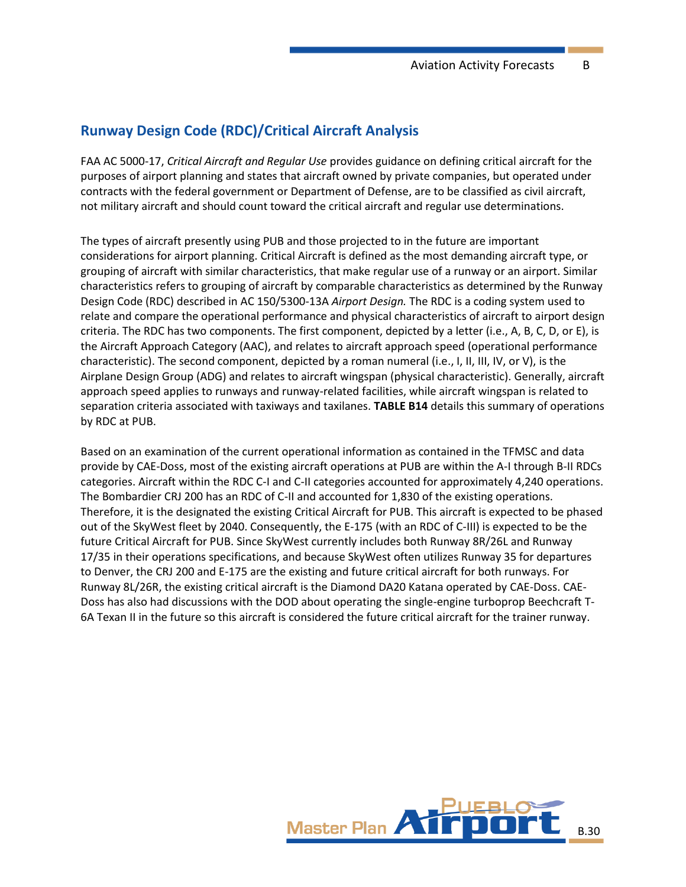# **Runway Design Code (RDC)/Critical Aircraft Analysis**

FAA AC 5000-17, *Critical Aircraft and Regular Use* provides guidance on defining critical aircraft for the purposes of airport planning and states that aircraft owned by private companies, but operated under contracts with the federal government or Department of Defense, are to be classified as civil aircraft, not military aircraft and should count toward the critical aircraft and regular use determinations.

The types of aircraft presently using PUB and those projected to in the future are important considerations for airport planning. Critical Aircraft is defined as the most demanding aircraft type, or grouping of aircraft with similar characteristics, that make regular use of a runway or an airport. Similar characteristics refers to grouping of aircraft by comparable characteristics as determined by the Runway Design Code (RDC) described in AC 150/5300-13A *Airport Design.* The RDC is a coding system used to relate and compare the operational performance and physical characteristics of aircraft to airport design criteria. The RDC has two components. The first component, depicted by a letter (i.e., A, B, C, D, or E), is the Aircraft Approach Category (AAC), and relates to aircraft approach speed (operational performance characteristic). The second component, depicted by a roman numeral (i.e., I, II, III, IV, or V), is the Airplane Design Group (ADG) and relates to aircraft wingspan (physical characteristic). Generally, aircraft approach speed applies to runways and runway-related facilities, while aircraft wingspan is related to separation criteria associated with taxiways and taxilanes. **[TABLE](#page-30-0) B14** details this summary of operations by RDC at PUB.

Based on an examination of the current operational information as contained in the TFMSC and data provide by CAE-Doss, most of the existing aircraft operations at PUB are within the A-I through B-II RDCs categories. Aircraft within the RDC C-I and C-II categories accounted for approximately 4,240 operations. The Bombardier CRJ 200 has an RDC of C-II and accounted for 1,830 of the existing operations. Therefore, it is the designated the existing Critical Aircraft for PUB. This aircraft is expected to be phased out of the SkyWest fleet by 2040. Consequently, the E-175 (with an RDC of C-III) is expected to be the future Critical Aircraft for PUB. Since SkyWest currently includes both Runway 8R/26L and Runway 17/35 in their operations specifications, and because SkyWest often utilizes Runway 35 for departures to Denver, the CRJ 200 and E-175 are the existing and future critical aircraft for both runways. For Runway 8L/26R, the existing critical aircraft is the Diamond DA20 Katana operated by CAE-Doss. CAE-Doss has also had discussions with the DOD about operating the single-engine turboprop Beechcraft T-6A Texan II in the future so this aircraft is considered the future critical aircraft for the trainer runway.

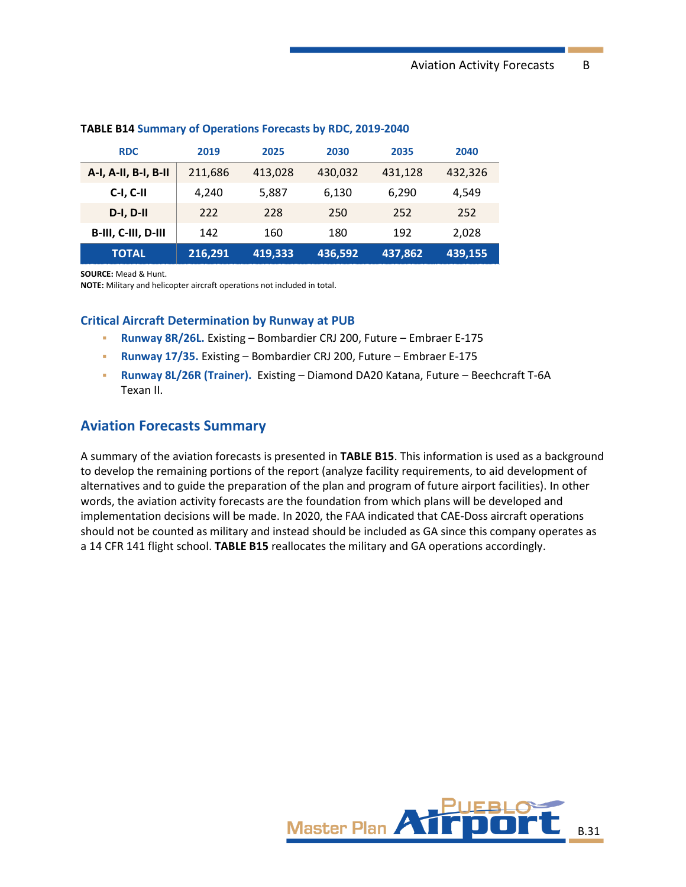| <b>RDC</b>           | 2019    | 2025    | 2030                | 2035         | 2040    |
|----------------------|---------|---------|---------------------|--------------|---------|
| A-I, A-II, B-I, B-II | 211,686 | 413,028 | 430,032             | 431,128      | 432,326 |
| C-I, C-II            | 4,240   | 5,887   | 6,130<br>228<br>250 | 6,290<br>252 | 4,549   |
| $D-I, D-II$          | 222     |         |                     |              | 252     |
| B-III, C-III, D-III  | 142     | 160     | 180                 | 192          | 2,028   |
| <b>TOTAL</b>         | 216,291 | 419,333 | 436,592             | 437,862      | 439,155 |

#### <span id="page-30-0"></span>**TABLE B14 Summary of Operations Forecasts by RDC, 2019-2040**

**SOURCE:** Mead & Hunt.

**NOTE:** Military and helicopter aircraft operations not included in total.

#### **Critical Aircraft Determination by Runway at PUB**

- **Runway 8R/26L.** Existing Bombardier CRJ 200, Future Embraer E-175
- **Runway 17/35.** Existing Bombardier CRJ 200, Future Embraer E-175
- **Runway 8L/26R (Trainer).** Existing Diamond DA20 Katana, Future Beechcraft T-6A Texan II.

# **Aviation Forecasts Summary**

A summary of the aviation forecasts is presented in **TABLE B15**. This information is used as a background to develop the remaining portions of the report (analyze facility requirements, to aid development of alternatives and to guide the preparation of the plan and program of future airport facilities). In other words, the aviation activity forecasts are the foundation from which plans will be developed and implementation decisions will be made. In 2020, the FAA indicated that CAE-Doss aircraft operations should not be counted as military and instead should be included as GA since this company operates as a 14 CFR 141 flight school. **TABLE B15** reallocates the military and GA operations accordingly.

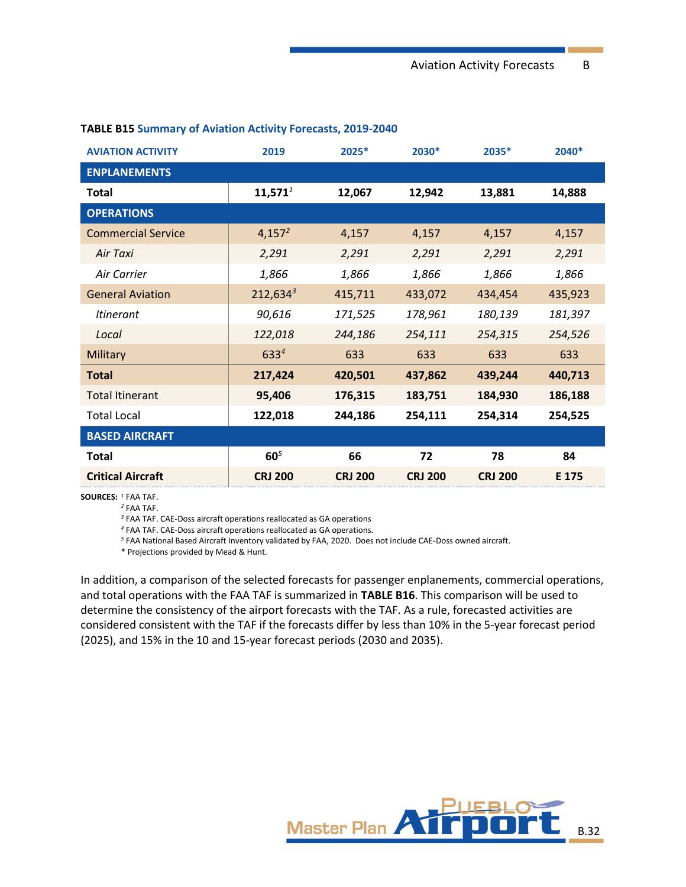| <b>AVIATION ACTIVITY</b>  | 2019            | 2025*          | 2030*          | 2035*          | 2040*   |
|---------------------------|-----------------|----------------|----------------|----------------|---------|
| <b>ENPLANEMENTS</b>       |                 |                |                |                |         |
| <b>Total</b>              | $11,571^1$      | 12,067         | 12,942         | 13,881         | 14,888  |
| <b>OPERATIONS</b>         |                 |                |                |                |         |
| <b>Commercial Service</b> | $4,157^2$       | 4,157          | 4,157          | 4,157          | 4,157   |
| Air Taxi                  | 2,291           | 2,291          | 2,291          | 2,291          | 2,291   |
| Air Carrier               | 1,866           | 1,866          | 1,866          | 1,866          | 1,866   |
| <b>General Aviation</b>   | $212,634^3$     | 415,711        | 433,072        | 434,454        | 435,923 |
| <i>Itinerant</i>          | 90,616          | 171,525        | 178,961        | 180,139        | 181,397 |
| Local                     | 122,018         | 244,186        | 254,111        | 254,315        | 254,526 |
| Military                  | $633^{4}$       | 633            | 633            | 633            | 633     |
| <b>Total</b>              | 217,424         | 420,501        | 437,862        | 439,244        | 440,713 |
| <b>Total Itinerant</b>    | 95,406          | 176,315        | 183,751        | 184,930        | 186,188 |
| <b>Total Local</b>        | 122,018         | 244,186        | 254,111        | 254,314        | 254,525 |
| <b>BASED AIRCRAFT</b>     |                 |                |                |                |         |
| <b>Total</b>              | 60 <sup>5</sup> | 66             | 72             | 78             | 84      |
| <b>Critical Aircraft</b>  | <b>CRJ 200</b>  | <b>CRJ 200</b> | <b>CRJ 200</b> | <b>CRJ 200</b> | E 175   |

## **TABLE B15 Summary of Aviation Activity Forecasts, 2019-2040**

**SOURCES:** *<sup>1</sup>* FAA TAF.

*<sup>2</sup>* FAA TAF.

*<sup>3</sup>* FAA TAF. CAE-Doss aircraft operations reallocated as GA operations

*<sup>4</sup>* FAA TAF. CAE-Doss aircraft operations reallocated as GA operations.

*<sup>5</sup>* FAA National Based Aircraft Inventory validated by FAA, 2020. Does not include CAE-Doss owned aircraft.

\* Projections provided by Mead & Hunt.

In addition, a comparison of the selected forecasts for passenger enplanements, commercial operations, and total operations with the FAA TAF is summarized in **TABLE B16**. This comparison will be used to determine the consistency of the airport forecasts with the TAF. As a rule, forecasted activities are considered consistent with the TAF if the forecasts differ by less than 10% in the 5-year forecast period (2025), and 15% in the 10 and 15-year forecast periods (2030 and 2035).